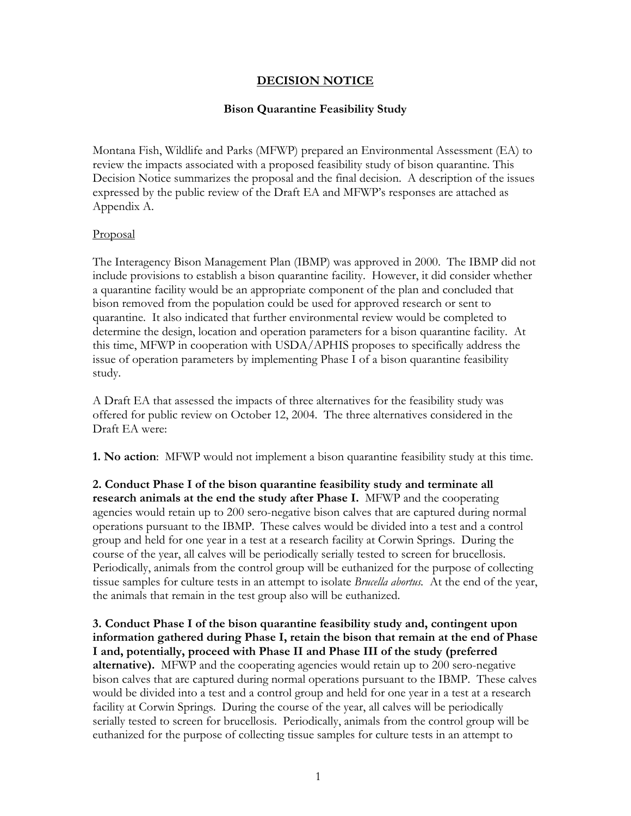# **DECISION NOTICE**

# **Bison Quarantine Feasibility Study**

Montana Fish, Wildlife and Parks (MFWP) prepared an Environmental Assessment (EA) to review the impacts associated with a proposed feasibility study of bison quarantine. This Decision Notice summarizes the proposal and the final decision. A description of the issues expressed by the public review of the Draft EA and MFWP's responses are attached as Appendix A.

### Proposal

The Interagency Bison Management Plan (IBMP) was approved in 2000. The IBMP did not include provisions to establish a bison quarantine facility. However, it did consider whether a quarantine facility would be an appropriate component of the plan and concluded that bison removed from the population could be used for approved research or sent to quarantine. It also indicated that further environmental review would be completed to determine the design, location and operation parameters for a bison quarantine facility. At this time, MFWP in cooperation with USDA/APHIS proposes to specifically address the issue of operation parameters by implementing Phase I of a bison quarantine feasibility study.

A Draft EA that assessed the impacts of three alternatives for the feasibility study was offered for public review on October 12, 2004. The three alternatives considered in the Draft EA were:

**1. No action**: MFWP would not implement a bison quarantine feasibility study at this time.

**2. Conduct Phase I of the bison quarantine feasibility study and terminate all research animals at the end the study after Phase I.** MFWP and the cooperating agencies would retain up to 200 sero-negative bison calves that are captured during normal operations pursuant to the IBMP. These calves would be divided into a test and a control group and held for one year in a test at a research facility at Corwin Springs. During the course of the year, all calves will be periodically serially tested to screen for brucellosis. Periodically, animals from the control group will be euthanized for the purpose of collecting tissue samples for culture tests in an attempt to isolate *Brucella abortus.* At the end of the year, the animals that remain in the test group also will be euthanized.

**3. Conduct Phase I of the bison quarantine feasibility study and, contingent upon information gathered during Phase I, retain the bison that remain at the end of Phase I and, potentially, proceed with Phase II and Phase III of the study (preferred alternative).** MFWP and the cooperating agencies would retain up to 200 sero-negative bison calves that are captured during normal operations pursuant to the IBMP. These calves would be divided into a test and a control group and held for one year in a test at a research facility at Corwin Springs. During the course of the year, all calves will be periodically serially tested to screen for brucellosis. Periodically, animals from the control group will be euthanized for the purpose of collecting tissue samples for culture tests in an attempt to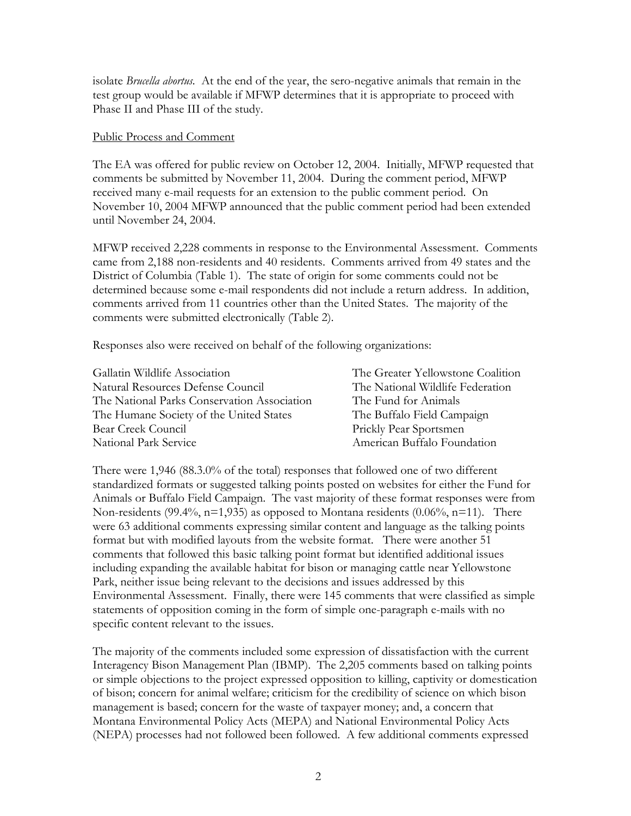isolate *Brucella abortus.* At the end of the year, the sero-negative animals that remain in the test group would be available if MFWP determines that it is appropriate to proceed with Phase II and Phase III of the study.

#### Public Process and Comment

The EA was offered for public review on October 12, 2004. Initially, MFWP requested that comments be submitted by November 11, 2004. During the comment period, MFWP received many e-mail requests for an extension to the public comment period. On November 10, 2004 MFWP announced that the public comment period had been extended until November 24, 2004.

MFWP received 2,228 comments in response to the Environmental Assessment. Comments came from 2,188 non-residents and 40 residents. Comments arrived from 49 states and the District of Columbia (Table 1). The state of origin for some comments could not be determined because some e-mail respondents did not include a return address. In addition, comments arrived from 11 countries other than the United States. The majority of the comments were submitted electronically (Table 2).

Responses also were received on behalf of the following organizations:

| Gallatin Wildlife Association               | The Greater Yellowstone Coalition |
|---------------------------------------------|-----------------------------------|
| Natural Resources Defense Council           | The National Wildlife Federation  |
| The National Parks Conservation Association | The Fund for Animals              |
| The Humane Society of the United States     | The Buffalo Field Campaign        |
| Bear Creek Council                          | Prickly Pear Sportsmen            |
| National Park Service                       | American Buffalo Foundation       |

There were 1,946 (88.3.0% of the total) responses that followed one of two different standardized formats or suggested talking points posted on websites for either the Fund for Animals or Buffalo Field Campaign. The vast majority of these format responses were from Non-residents (99.4%,  $n=1,935$ ) as opposed to Montana residents (0.06%,  $n=11$ ). There were 63 additional comments expressing similar content and language as the talking points format but with modified layouts from the website format. There were another 51 comments that followed this basic talking point format but identified additional issues including expanding the available habitat for bison or managing cattle near Yellowstone Park, neither issue being relevant to the decisions and issues addressed by this Environmental Assessment. Finally, there were 145 comments that were classified as simple statements of opposition coming in the form of simple one-paragraph e-mails with no specific content relevant to the issues.

The majority of the comments included some expression of dissatisfaction with the current Interagency Bison Management Plan (IBMP). The 2,205 comments based on talking points or simple objections to the project expressed opposition to killing, captivity or domestication of bison; concern for animal welfare; criticism for the credibility of science on which bison management is based; concern for the waste of taxpayer money; and, a concern that Montana Environmental Policy Acts (MEPA) and National Environmental Policy Acts (NEPA) processes had not followed been followed. A few additional comments expressed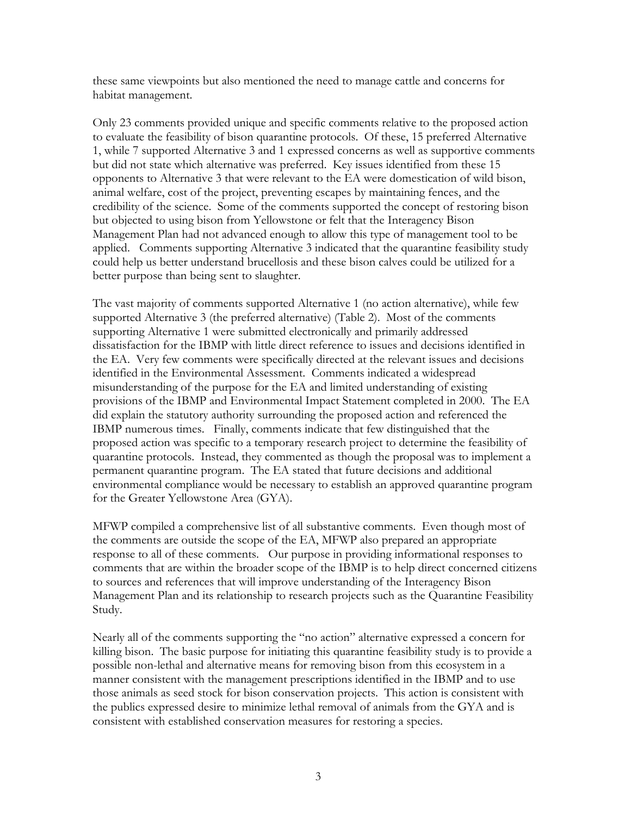these same viewpoints but also mentioned the need to manage cattle and concerns for habitat management.

Only 23 comments provided unique and specific comments relative to the proposed action to evaluate the feasibility of bison quarantine protocols. Of these, 15 preferred Alternative 1, while 7 supported Alternative 3 and 1 expressed concerns as well as supportive comments but did not state which alternative was preferred. Key issues identified from these 15 opponents to Alternative 3 that were relevant to the EA were domestication of wild bison, animal welfare, cost of the project, preventing escapes by maintaining fences, and the credibility of the science. Some of the comments supported the concept of restoring bison but objected to using bison from Yellowstone or felt that the Interagency Bison Management Plan had not advanced enough to allow this type of management tool to be applied. Comments supporting Alternative 3 indicated that the quarantine feasibility study could help us better understand brucellosis and these bison calves could be utilized for a better purpose than being sent to slaughter.

The vast majority of comments supported Alternative 1 (no action alternative), while few supported Alternative 3 (the preferred alternative) (Table 2). Most of the comments supporting Alternative 1 were submitted electronically and primarily addressed dissatisfaction for the IBMP with little direct reference to issues and decisions identified in the EA. Very few comments were specifically directed at the relevant issues and decisions identified in the Environmental Assessment. Comments indicated a widespread misunderstanding of the purpose for the EA and limited understanding of existing provisions of the IBMP and Environmental Impact Statement completed in 2000. The EA did explain the statutory authority surrounding the proposed action and referenced the IBMP numerous times. Finally, comments indicate that few distinguished that the proposed action was specific to a temporary research project to determine the feasibility of quarantine protocols. Instead, they commented as though the proposal was to implement a permanent quarantine program. The EA stated that future decisions and additional environmental compliance would be necessary to establish an approved quarantine program for the Greater Yellowstone Area (GYA).

MFWP compiled a comprehensive list of all substantive comments. Even though most of the comments are outside the scope of the EA, MFWP also prepared an appropriate response to all of these comments. Our purpose in providing informational responses to comments that are within the broader scope of the IBMP is to help direct concerned citizens to sources and references that will improve understanding of the Interagency Bison Management Plan and its relationship to research projects such as the Quarantine Feasibility Study.

Nearly all of the comments supporting the "no action" alternative expressed a concern for killing bison. The basic purpose for initiating this quarantine feasibility study is to provide a possible non-lethal and alternative means for removing bison from this ecosystem in a manner consistent with the management prescriptions identified in the IBMP and to use those animals as seed stock for bison conservation projects. This action is consistent with the publics expressed desire to minimize lethal removal of animals from the GYA and is consistent with established conservation measures for restoring a species.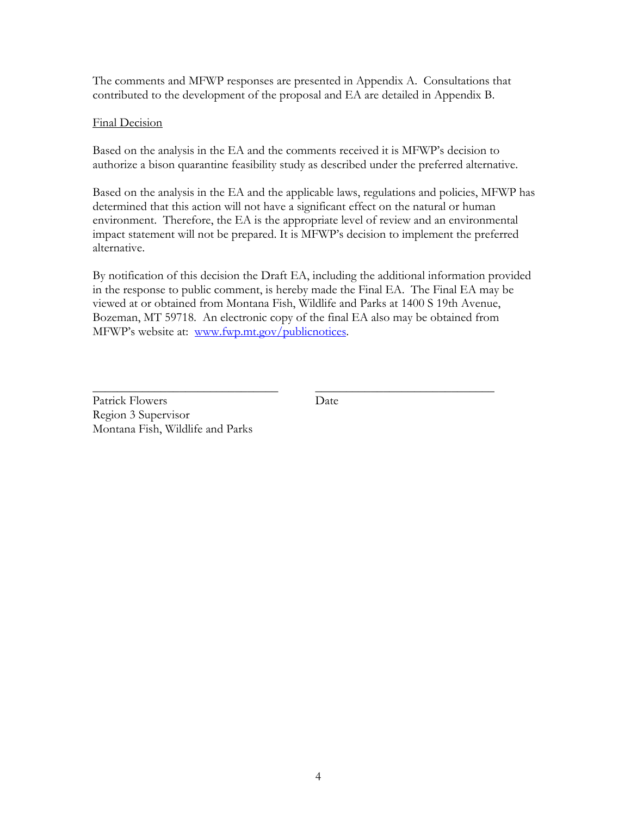The comments and MFWP responses are presented in Appendix A. Consultations that contributed to the development of the proposal and EA are detailed in Appendix B.

# Final Decision

Based on the analysis in the EA and the comments received it is MFWP's decision to authorize a bison quarantine feasibility study as described under the preferred alternative.

Based on the analysis in the EA and the applicable laws, regulations and policies, MFWP has determined that this action will not have a significant effect on the natural or human environment. Therefore, the EA is the appropriate level of review and an environmental impact statement will not be prepared. It is MFWP's decision to implement the preferred alternative.

By notification of this decision the Draft EA, including the additional information provided in the response to public comment, is hereby made the Final EA. The Final EA may be viewed at or obtained from Montana Fish, Wildlife and Parks at 1400 S 19th Avenue, Bozeman, MT 59718. An electronic copy of the final EA also may be obtained from MFWP's website at: www.fwp.mt.gov/publicnotices.

\_\_\_\_\_\_\_\_\_\_\_\_\_\_\_\_\_\_\_\_\_\_\_\_\_\_\_\_\_\_ \_\_\_\_\_\_\_\_\_\_\_\_\_\_\_\_\_\_\_\_\_\_\_\_\_\_\_\_\_ Patrick Flowers Date Region 3 Supervisor Montana Fish, Wildlife and Parks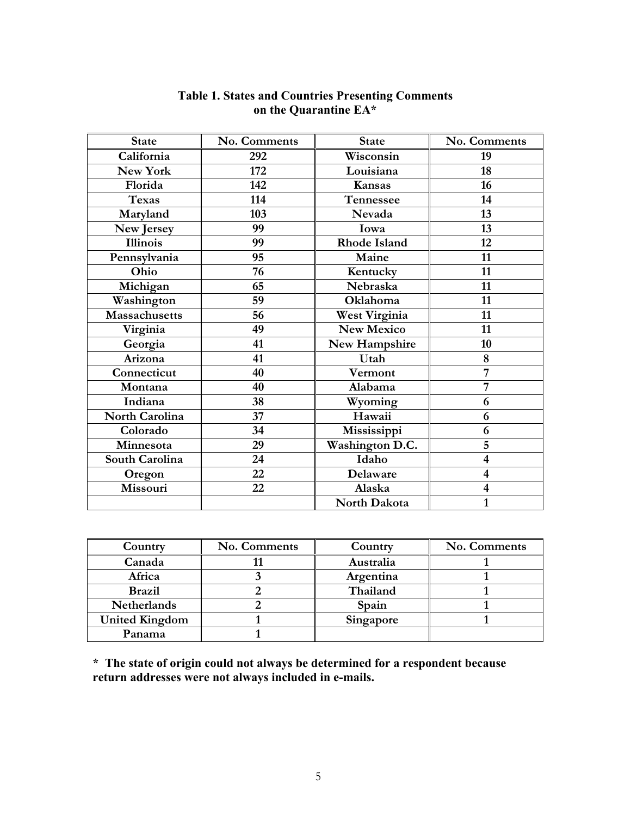| <b>State</b>         | No. Comments | <b>State</b>           | No. Comments            |
|----------------------|--------------|------------------------|-------------------------|
| California           | 292          | Wisconsin              | 19                      |
| New York             | 172          | Louisiana              | 18                      |
| Florida              | 142          | Kansas                 | 16                      |
| <b>Texas</b>         | 114          | Tennessee              | 14                      |
| Maryland             | 103          | Nevada                 | 13                      |
| New Jersey           | 99           | Iowa                   | 13                      |
| <b>Illinois</b>      | 99           | <b>Rhode Island</b>    | 12                      |
| Pennsylvania         | 95           | Maine                  | 11                      |
| Ohio                 | 76           | Kentucky               | 11                      |
| Michigan             | 65           | Nebraska               | 11                      |
| Washington           | 59           | Oklahoma               | 11                      |
| <b>Massachusetts</b> | 56           | West Virginia          | 11                      |
| Virginia             | 49           | <b>New Mexico</b>      | 11                      |
| Georgia              | 41           | New Hampshire          | 10                      |
| Arizona              | 41           | Utah                   | 8                       |
| Connecticut          | 40           | Vermont                | 7                       |
| Montana              | 40           | Alabama                | 7                       |
| Indiana              | 38           | Wyoming                | 6                       |
| North Carolina       | 37           | Hawaii                 | 6                       |
| Colorado             | 34           | Mississippi            | 6                       |
| Minnesota            | 29           | <b>Washington D.C.</b> | 5                       |
| South Carolina       | 24           | Idaho                  | $\overline{\mathbf{4}}$ |
| Oregon               | 22           | Delaware               | $\overline{\mathbf{4}}$ |
| Missouri             | 22           | Alaska                 | $\overline{\mathbf{4}}$ |
|                      |              | North Dakota           | $\mathbf{1}$            |

#### **Table 1. States and Countries Presenting Comments on the Quarantine EA\***

| Country               | No. Comments | Country   | No. Comments |
|-----------------------|--------------|-----------|--------------|
| Canada                |              | Australia |              |
| Africa                |              | Argentina |              |
| <b>Brazil</b>         |              | Thailand  |              |
| <b>Netherlands</b>    |              | Spain     |              |
| <b>United Kingdom</b> |              | Singapore |              |
| Panama                |              |           |              |

**\* The state of origin could not always be determined for a respondent because return addresses were not always included in e-mails.**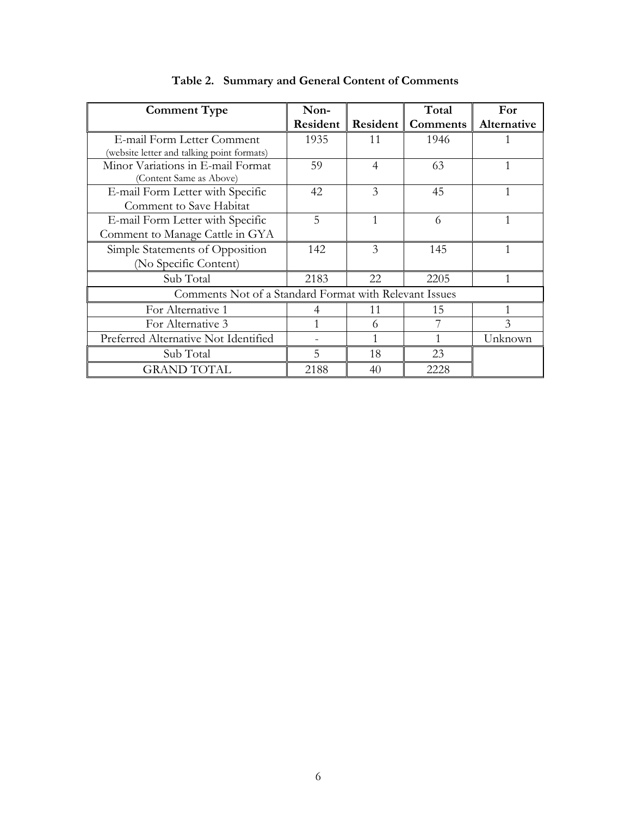| <b>Comment Type</b>                                    | Non-     |          | Total    | For         |
|--------------------------------------------------------|----------|----------|----------|-------------|
|                                                        | Resident | Resident | Comments | Alternative |
| E-mail Form Letter Comment                             | 1935     | 11       | 1946     |             |
| (website letter and talking point formats)             |          |          |          |             |
| Minor Variations in E-mail Format                      | 59       | 4        | 63       |             |
| (Content Same as Above)                                |          |          |          |             |
| E-mail Form Letter with Specific                       | 42       | 3        | 45       | 1           |
| Comment to Save Habitat                                |          |          |          |             |
| E-mail Form Letter with Specific                       | 5        | 1        | 6        | 1           |
| Comment to Manage Cattle in GYA                        |          |          |          |             |
| Simple Statements of Opposition                        | 142      | 3        | 145      | 1           |
| (No Specific Content)                                  |          |          |          |             |
| Sub Total                                              | 2183     | 22       | 2205     |             |
| Comments Not of a Standard Format with Relevant Issues |          |          |          |             |
| For Alternative 1                                      | 4        | 11       | 15       | 1           |
| For Alternative 3                                      |          | 6        |          | 3           |
| Preferred Alternative Not Identified                   |          |          |          | Unknown     |
| Sub Total                                              | 5        | 18       | 23       |             |
| <b>GRAND TOTAL</b>                                     | 2188     | 40       | 2228     |             |

|  | Table 2. Summary and General Content of Comments |  |
|--|--------------------------------------------------|--|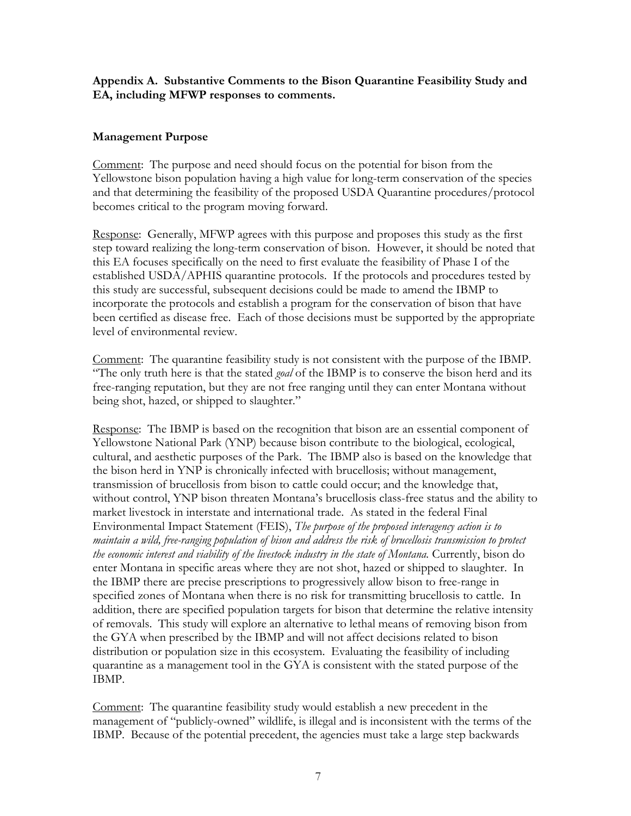## **Appendix A. Substantive Comments to the Bison Quarantine Feasibility Study and EA, including MFWP responses to comments.**

### **Management Purpose**

Comment: The purpose and need should focus on the potential for bison from the Yellowstone bison population having a high value for long-term conservation of the species and that determining the feasibility of the proposed USDA Quarantine procedures/protocol becomes critical to the program moving forward.

Response: Generally, MFWP agrees with this purpose and proposes this study as the first step toward realizing the long-term conservation of bison. However, it should be noted that this EA focuses specifically on the need to first evaluate the feasibility of Phase I of the established USDA/APHIS quarantine protocols. If the protocols and procedures tested by this study are successful, subsequent decisions could be made to amend the IBMP to incorporate the protocols and establish a program for the conservation of bison that have been certified as disease free. Each of those decisions must be supported by the appropriate level of environmental review.

Comment: The quarantine feasibility study is not consistent with the purpose of the IBMP. "The only truth here is that the stated *goal* of the IBMP is to conserve the bison herd and its free-ranging reputation, but they are not free ranging until they can enter Montana without being shot, hazed, or shipped to slaughter."

Response: The IBMP is based on the recognition that bison are an essential component of Yellowstone National Park (YNP) because bison contribute to the biological, ecological, cultural, and aesthetic purposes of the Park. The IBMP also is based on the knowledge that the bison herd in YNP is chronically infected with brucellosis; without management, transmission of brucellosis from bison to cattle could occur; and the knowledge that, without control, YNP bison threaten Montana's brucellosis class-free status and the ability to market livestock in interstate and international trade. As stated in the federal Final Environmental Impact Statement (FEIS), *The purpose of the proposed interagency action is to maintain a wild, free-ranging population of bison and address the risk of brucellosis transmission to protect the economic interest and viability of the livestock industry in the state of Montana.* Currently, bison do enter Montana in specific areas where they are not shot, hazed or shipped to slaughter. In the IBMP there are precise prescriptions to progressively allow bison to free-range in specified zones of Montana when there is no risk for transmitting brucellosis to cattle. In addition, there are specified population targets for bison that determine the relative intensity of removals. This study will explore an alternative to lethal means of removing bison from the GYA when prescribed by the IBMP and will not affect decisions related to bison distribution or population size in this ecosystem. Evaluating the feasibility of including quarantine as a management tool in the GYA is consistent with the stated purpose of the IBMP.

Comment: The quarantine feasibility study would establish a new precedent in the management of "publicly-owned" wildlife, is illegal and is inconsistent with the terms of the IBMP. Because of the potential precedent, the agencies must take a large step backwards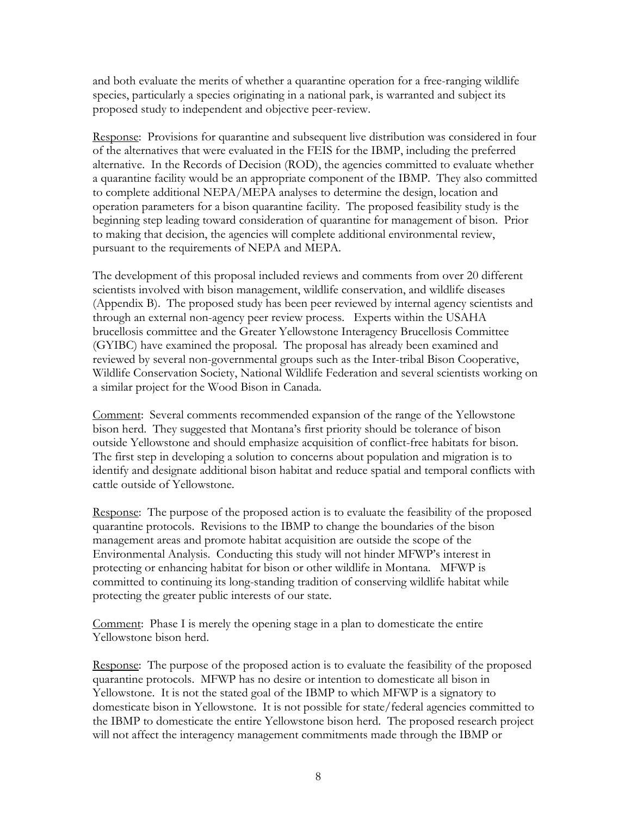and both evaluate the merits of whether a quarantine operation for a free-ranging wildlife species, particularly a species originating in a national park, is warranted and subject its proposed study to independent and objective peer-review.

Response: Provisions for quarantine and subsequent live distribution was considered in four of the alternatives that were evaluated in the FEIS for the IBMP, including the preferred alternative. In the Records of Decision (ROD), the agencies committed to evaluate whether a quarantine facility would be an appropriate component of the IBMP. They also committed to complete additional NEPA/MEPA analyses to determine the design, location and operation parameters for a bison quarantine facility. The proposed feasibility study is the beginning step leading toward consideration of quarantine for management of bison. Prior to making that decision, the agencies will complete additional environmental review, pursuant to the requirements of NEPA and MEPA.

The development of this proposal included reviews and comments from over 20 different scientists involved with bison management, wildlife conservation, and wildlife diseases (Appendix B). The proposed study has been peer reviewed by internal agency scientists and through an external non-agency peer review process. Experts within the USAHA brucellosis committee and the Greater Yellowstone Interagency Brucellosis Committee (GYIBC) have examined the proposal. The proposal has already been examined and reviewed by several non-governmental groups such as the Inter-tribal Bison Cooperative, Wildlife Conservation Society, National Wildlife Federation and several scientists working on a similar project for the Wood Bison in Canada.

Comment: Several comments recommended expansion of the range of the Yellowstone bison herd. They suggested that Montana's first priority should be tolerance of bison outside Yellowstone and should emphasize acquisition of conflict-free habitats for bison. The first step in developing a solution to concerns about population and migration is to identify and designate additional bison habitat and reduce spatial and temporal conflicts with cattle outside of Yellowstone.

Response: The purpose of the proposed action is to evaluate the feasibility of the proposed quarantine protocols. Revisions to the IBMP to change the boundaries of the bison management areas and promote habitat acquisition are outside the scope of the Environmental Analysis. Conducting this study will not hinder MFWP's interest in protecting or enhancing habitat for bison or other wildlife in Montana. MFWP is committed to continuing its long-standing tradition of conserving wildlife habitat while protecting the greater public interests of our state.

Comment: Phase I is merely the opening stage in a plan to domesticate the entire Yellowstone bison herd.

Response: The purpose of the proposed action is to evaluate the feasibility of the proposed quarantine protocols. MFWP has no desire or intention to domesticate all bison in Yellowstone. It is not the stated goal of the IBMP to which MFWP is a signatory to domesticate bison in Yellowstone. It is not possible for state/federal agencies committed to the IBMP to domesticate the entire Yellowstone bison herd. The proposed research project will not affect the interagency management commitments made through the IBMP or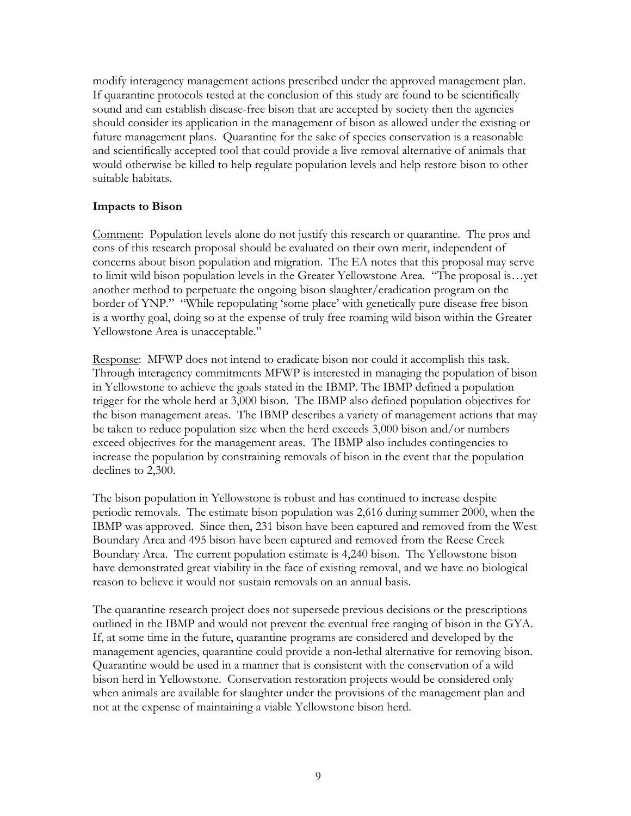modify interagency management actions prescribed under the approved management plan. If quarantine protocols tested at the conclusion of this study are found to be scientifically sound and can establish disease-free bison that are accepted by society then the agencies should consider its application in the management of bison as allowed under the existing or future management plans. Quarantine for the sake of species conservation is a reasonable and scientifically accepted tool that could provide a live removal alternative of animals that would otherwise be killed to help regulate population levels and help restore bison to other suitable habitats.

### **Impacts to Bison**

Comment: Population levels alone do not justify this research or quarantine. The pros and cons of this research proposal should be evaluated on their own merit, independent of concerns about bison population and migration. The EA notes that this proposal may serve to limit wild bison population levels in the Greater Yellowstone Area. "The proposal is…yet another method to perpetuate the ongoing bison slaughter/eradication program on the border of YNP." "While repopulating 'some place' with genetically pure disease free bison is a worthy goal, doing so at the expense of truly free roaming wild bison within the Greater Yellowstone Area is unacceptable."

Response: MFWP does not intend to eradicate bison nor could it accomplish this task. Through interagency commitments MFWP is interested in managing the population of bison in Yellowstone to achieve the goals stated in the IBMP. The IBMP defined a population trigger for the whole herd at 3,000 bison. The IBMP also defined population objectives for the bison management areas. The IBMP describes a variety of management actions that may be taken to reduce population size when the herd exceeds 3,000 bison and/or numbers exceed objectives for the management areas. The IBMP also includes contingencies to increase the population by constraining removals of bison in the event that the population declines to 2,300.

The bison population in Yellowstone is robust and has continued to increase despite periodic removals. The estimate bison population was 2,616 during summer 2000, when the IBMP was approved. Since then, 231 bison have been captured and removed from the West Boundary Area and 495 bison have been captured and removed from the Reese Creek Boundary Area. The current population estimate is 4,240 bison. The Yellowstone bison have demonstrated great viability in the face of existing removal, and we have no biological reason to believe it would not sustain removals on an annual basis.

The quarantine research project does not supersede previous decisions or the prescriptions outlined in the IBMP and would not prevent the eventual free ranging of bison in the GYA. If, at some time in the future, quarantine programs are considered and developed by the management agencies, quarantine could provide a non-lethal alternative for removing bison. Quarantine would be used in a manner that is consistent with the conservation of a wild bison herd in Yellowstone. Conservation restoration projects would be considered only when animals are available for slaughter under the provisions of the management plan and not at the expense of maintaining a viable Yellowstone bison herd.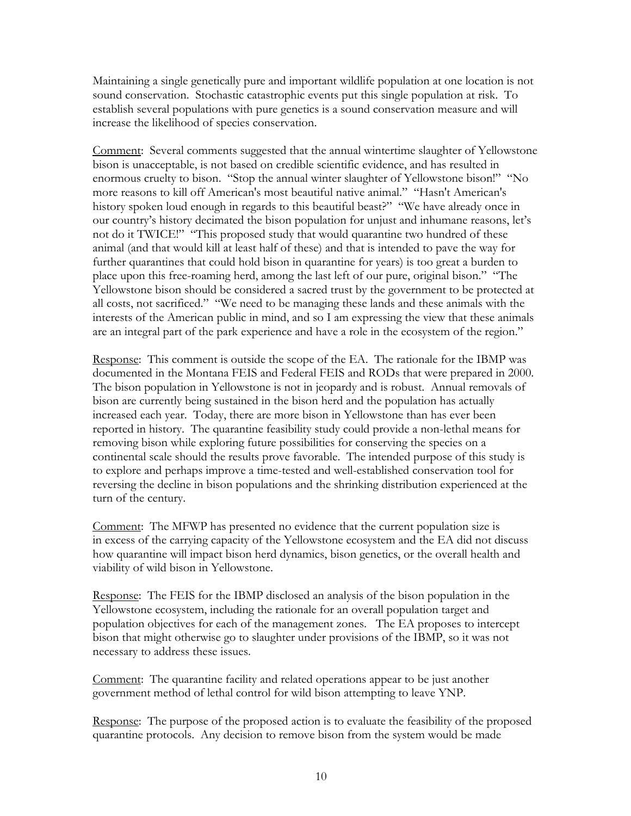Maintaining a single genetically pure and important wildlife population at one location is not sound conservation. Stochastic catastrophic events put this single population at risk. To establish several populations with pure genetics is a sound conservation measure and will increase the likelihood of species conservation.

Comment: Several comments suggested that the annual wintertime slaughter of Yellowstone bison is unacceptable, is not based on credible scientific evidence, and has resulted in enormous cruelty to bison. "Stop the annual winter slaughter of Yellowstone bison!" "No more reasons to kill off American's most beautiful native animal." "Hasn't American's history spoken loud enough in regards to this beautiful beast?" "We have already once in our country's history decimated the bison population for unjust and inhumane reasons, let's not do it TWICE!" "This proposed study that would quarantine two hundred of these animal (and that would kill at least half of these) and that is intended to pave the way for further quarantines that could hold bison in quarantine for years) is too great a burden to place upon this free-roaming herd, among the last left of our pure, original bison." "The Yellowstone bison should be considered a sacred trust by the government to be protected at all costs, not sacrificed." "We need to be managing these lands and these animals with the interests of the American public in mind, and so I am expressing the view that these animals are an integral part of the park experience and have a role in the ecosystem of the region."

Response: This comment is outside the scope of the EA. The rationale for the IBMP was documented in the Montana FEIS and Federal FEIS and RODs that were prepared in 2000. The bison population in Yellowstone is not in jeopardy and is robust. Annual removals of bison are currently being sustained in the bison herd and the population has actually increased each year. Today, there are more bison in Yellowstone than has ever been reported in history. The quarantine feasibility study could provide a non-lethal means for removing bison while exploring future possibilities for conserving the species on a continental scale should the results prove favorable. The intended purpose of this study is to explore and perhaps improve a time-tested and well-established conservation tool for reversing the decline in bison populations and the shrinking distribution experienced at the turn of the century.

Comment: The MFWP has presented no evidence that the current population size is in excess of the carrying capacity of the Yellowstone ecosystem and the EA did not discuss how quarantine will impact bison herd dynamics, bison genetics, or the overall health and viability of wild bison in Yellowstone.

Response: The FEIS for the IBMP disclosed an analysis of the bison population in the Yellowstone ecosystem, including the rationale for an overall population target and population objectives for each of the management zones. The EA proposes to intercept bison that might otherwise go to slaughter under provisions of the IBMP, so it was not necessary to address these issues.

Comment: The quarantine facility and related operations appear to be just another government method of lethal control for wild bison attempting to leave YNP.

Response: The purpose of the proposed action is to evaluate the feasibility of the proposed quarantine protocols. Any decision to remove bison from the system would be made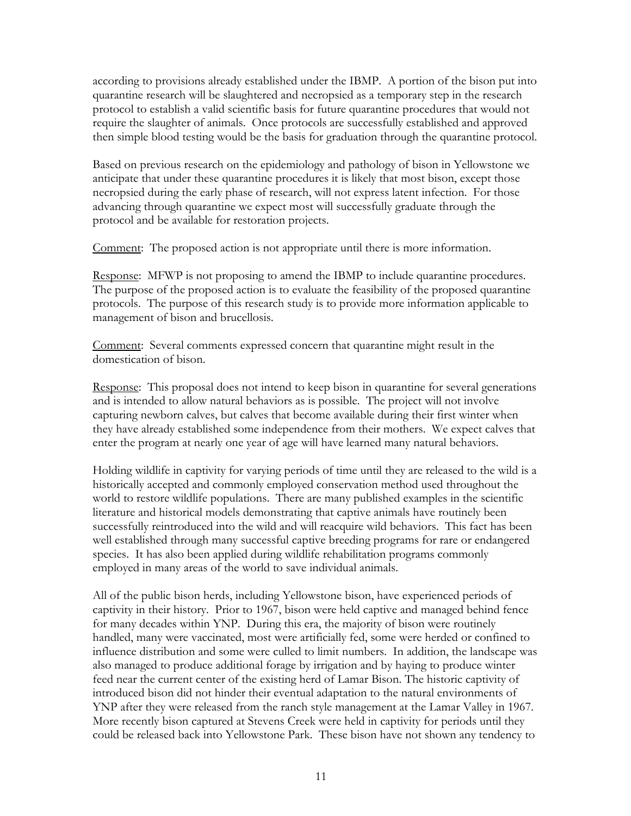according to provisions already established under the IBMP. A portion of the bison put into quarantine research will be slaughtered and necropsied as a temporary step in the research protocol to establish a valid scientific basis for future quarantine procedures that would not require the slaughter of animals. Once protocols are successfully established and approved then simple blood testing would be the basis for graduation through the quarantine protocol.

Based on previous research on the epidemiology and pathology of bison in Yellowstone we anticipate that under these quarantine procedures it is likely that most bison, except those necropsied during the early phase of research, will not express latent infection. For those advancing through quarantine we expect most will successfully graduate through the protocol and be available for restoration projects.

Comment: The proposed action is not appropriate until there is more information.

Response: MFWP is not proposing to amend the IBMP to include quarantine procedures. The purpose of the proposed action is to evaluate the feasibility of the proposed quarantine protocols. The purpose of this research study is to provide more information applicable to management of bison and brucellosis.

Comment: Several comments expressed concern that quarantine might result in the domestication of bison.

Response: This proposal does not intend to keep bison in quarantine for several generations and is intended to allow natural behaviors as is possible. The project will not involve capturing newborn calves, but calves that become available during their first winter when they have already established some independence from their mothers. We expect calves that enter the program at nearly one year of age will have learned many natural behaviors.

Holding wildlife in captivity for varying periods of time until they are released to the wild is a historically accepted and commonly employed conservation method used throughout the world to restore wildlife populations. There are many published examples in the scientific literature and historical models demonstrating that captive animals have routinely been successfully reintroduced into the wild and will reacquire wild behaviors. This fact has been well established through many successful captive breeding programs for rare or endangered species. It has also been applied during wildlife rehabilitation programs commonly employed in many areas of the world to save individual animals.

All of the public bison herds, including Yellowstone bison, have experienced periods of captivity in their history. Prior to 1967, bison were held captive and managed behind fence for many decades within YNP. During this era, the majority of bison were routinely handled, many were vaccinated, most were artificially fed, some were herded or confined to influence distribution and some were culled to limit numbers. In addition, the landscape was also managed to produce additional forage by irrigation and by haying to produce winter feed near the current center of the existing herd of Lamar Bison. The historic captivity of introduced bison did not hinder their eventual adaptation to the natural environments of YNP after they were released from the ranch style management at the Lamar Valley in 1967. More recently bison captured at Stevens Creek were held in captivity for periods until they could be released back into Yellowstone Park. These bison have not shown any tendency to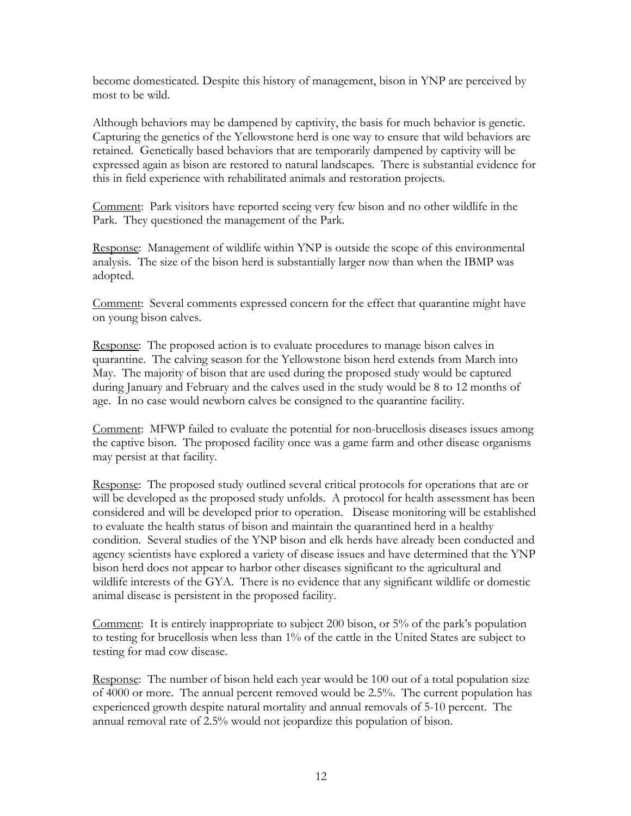become domesticated. Despite this history of management, bison in YNP are perceived by most to be wild.

Although behaviors may be dampened by captivity, the basis for much behavior is genetic. Capturing the genetics of the Yellowstone herd is one way to ensure that wild behaviors are retained. Genetically based behaviors that are temporarily dampened by captivity will be expressed again as bison are restored to natural landscapes. There is substantial evidence for this in field experience with rehabilitated animals and restoration projects.

Comment: Park visitors have reported seeing very few bison and no other wildlife in the Park. They questioned the management of the Park.

Response: Management of wildlife within YNP is outside the scope of this environmental analysis. The size of the bison herd is substantially larger now than when the IBMP was adopted.

Comment: Several comments expressed concern for the effect that quarantine might have on young bison calves.

Response: The proposed action is to evaluate procedures to manage bison calves in quarantine. The calving season for the Yellowstone bison herd extends from March into May. The majority of bison that are used during the proposed study would be captured during January and February and the calves used in the study would be 8 to 12 months of age. In no case would newborn calves be consigned to the quarantine facility.

Comment: MFWP failed to evaluate the potential for non-brucellosis diseases issues among the captive bison. The proposed facility once was a game farm and other disease organisms may persist at that facility.

Response: The proposed study outlined several critical protocols for operations that are or will be developed as the proposed study unfolds. A protocol for health assessment has been considered and will be developed prior to operation. Disease monitoring will be established to evaluate the health status of bison and maintain the quarantined herd in a healthy condition. Several studies of the YNP bison and elk herds have already been conducted and agency scientists have explored a variety of disease issues and have determined that the YNP bison herd does not appear to harbor other diseases significant to the agricultural and wildlife interests of the GYA. There is no evidence that any significant wildlife or domestic animal disease is persistent in the proposed facility.

Comment: It is entirely inappropriate to subject 200 bison, or 5% of the park's population to testing for brucellosis when less than 1% of the cattle in the United States are subject to testing for mad cow disease.

Response: The number of bison held each year would be 100 out of a total population size of 4000 or more. The annual percent removed would be 2.5%. The current population has experienced growth despite natural mortality and annual removals of 5-10 percent. The annual removal rate of 2.5% would not jeopardize this population of bison.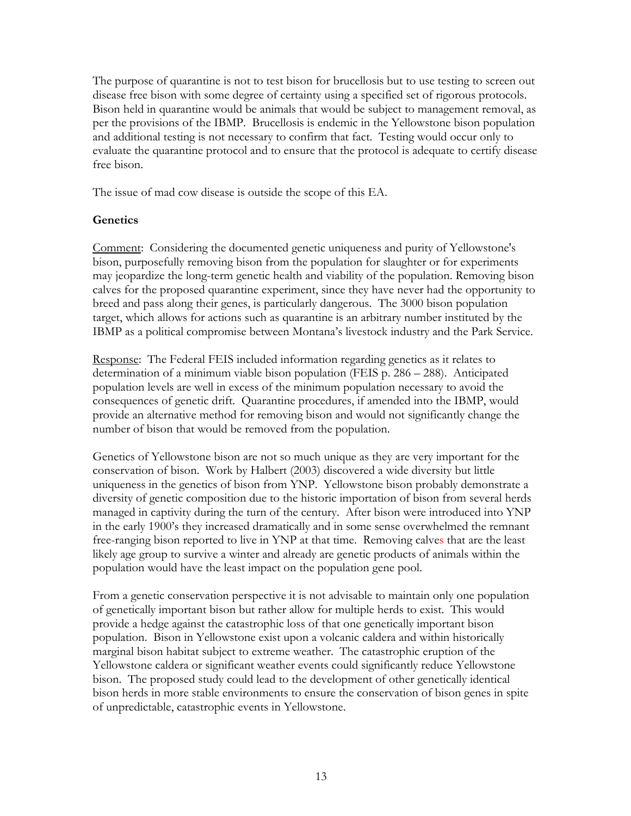The purpose of quarantine is not to test bison for brucellosis but to use testing to screen out disease free bison with some degree of certainty using a specified set of rigorous protocols. Bison held in quarantine would be animals that would be subject to management removal, as per the provisions of the IBMP. Brucellosis is endemic in the Yellowstone bison population and additional testing is not necessary to confirm that fact. Testing would occur only to evaluate the quarantine protocol and to ensure that the protocol is adequate to certify disease free bison.

The issue of mad cow disease is outside the scope of this EA.

# **Genetics**

Comment: Considering the documented genetic uniqueness and purity of Yellowstone's bison, purposefully removing bison from the population for slaughter or for experiments may jeopardize the long-term genetic health and viability of the population. Removing bison calves for the proposed quarantine experiment, since they have never had the opportunity to breed and pass along their genes, is particularly dangerous. The 3000 bison population target, which allows for actions such as quarantine is an arbitrary number instituted by the IBMP as a political compromise between Montana's livestock industry and the Park Service.

Response: The Federal FEIS included information regarding genetics as it relates to determination of a minimum viable bison population (FEIS p. 286 – 288). Anticipated population levels are well in excess of the minimum population necessary to avoid the consequences of genetic drift. Quarantine procedures, if amended into the IBMP, would provide an alternative method for removing bison and would not significantly change the number of bison that would be removed from the population.

Genetics of Yellowstone bison are not so much unique as they are very important for the conservation of bison. Work by Halbert (2003) discovered a wide diversity but little uniqueness in the genetics of bison from YNP. Yellowstone bison probably demonstrate a diversity of genetic composition due to the historic importation of bison from several herds managed in captivity during the turn of the century. After bison were introduced into YNP in the early 1900's they increased dramatically and in some sense overwhelmed the remnant free-ranging bison reported to live in YNP at that time. Removing calves that are the least likely age group to survive a winter and already are genetic products of animals within the population would have the least impact on the population gene pool.

From a genetic conservation perspective it is not advisable to maintain only one population of genetically important bison but rather allow for multiple herds to exist. This would provide a hedge against the catastrophic loss of that one genetically important bison population. Bison in Yellowstone exist upon a volcanic caldera and within historically marginal bison habitat subject to extreme weather. The catastrophic eruption of the Yellowstone caldera or significant weather events could significantly reduce Yellowstone bison. The proposed study could lead to the development of other genetically identical bison herds in more stable environments to ensure the conservation of bison genes in spite of unpredictable, catastrophic events in Yellowstone.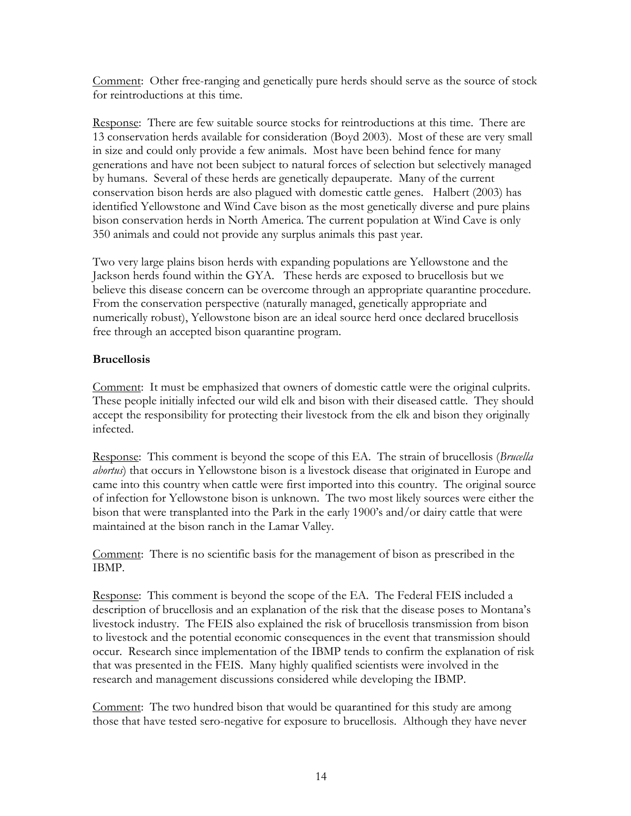Comment: Other free-ranging and genetically pure herds should serve as the source of stock for reintroductions at this time.

Response: There are few suitable source stocks for reintroductions at this time. There are 13 conservation herds available for consideration (Boyd 2003). Most of these are very small in size and could only provide a few animals. Most have been behind fence for many generations and have not been subject to natural forces of selection but selectively managed by humans. Several of these herds are genetically depauperate. Many of the current conservation bison herds are also plagued with domestic cattle genes. Halbert (2003) has identified Yellowstone and Wind Cave bison as the most genetically diverse and pure plains bison conservation herds in North America. The current population at Wind Cave is only 350 animals and could not provide any surplus animals this past year.

Two very large plains bison herds with expanding populations are Yellowstone and the Jackson herds found within the GYA. These herds are exposed to brucellosis but we believe this disease concern can be overcome through an appropriate quarantine procedure. From the conservation perspective (naturally managed, genetically appropriate and numerically robust), Yellowstone bison are an ideal source herd once declared brucellosis free through an accepted bison quarantine program.

# **Brucellosis**

Comment: It must be emphasized that owners of domestic cattle were the original culprits. These people initially infected our wild elk and bison with their diseased cattle. They should accept the responsibility for protecting their livestock from the elk and bison they originally infected.

Response: This comment is beyond the scope of this EA. The strain of brucellosis (*Brucella abortus*) that occurs in Yellowstone bison is a livestock disease that originated in Europe and came into this country when cattle were first imported into this country. The original source of infection for Yellowstone bison is unknown. The two most likely sources were either the bison that were transplanted into the Park in the early 1900's and/or dairy cattle that were maintained at the bison ranch in the Lamar Valley.

Comment: There is no scientific basis for the management of bison as prescribed in the IBMP.

Response: This comment is beyond the scope of the EA. The Federal FEIS included a description of brucellosis and an explanation of the risk that the disease poses to Montana's livestock industry. The FEIS also explained the risk of brucellosis transmission from bison to livestock and the potential economic consequences in the event that transmission should occur. Research since implementation of the IBMP tends to confirm the explanation of risk that was presented in the FEIS. Many highly qualified scientists were involved in the research and management discussions considered while developing the IBMP.

Comment: The two hundred bison that would be quarantined for this study are among those that have tested sero-negative for exposure to brucellosis. Although they have never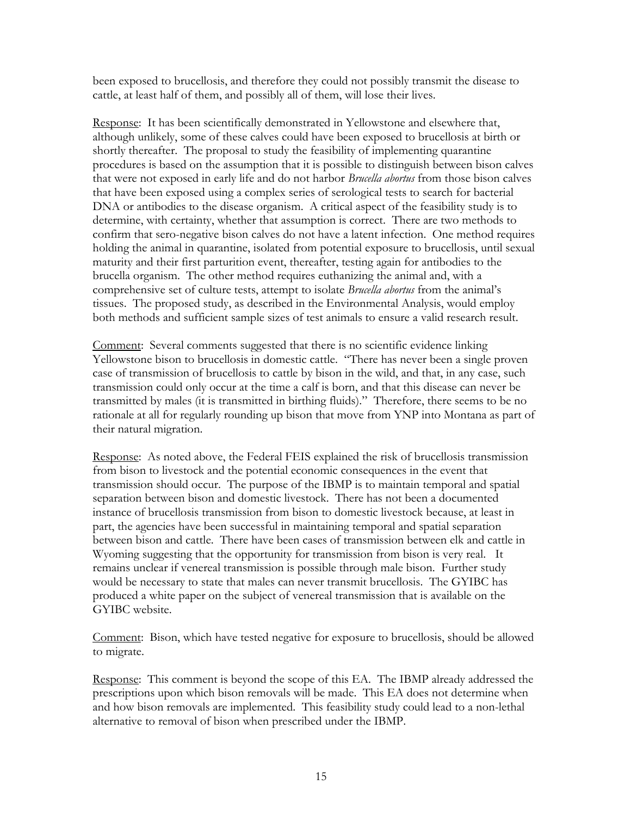been exposed to brucellosis, and therefore they could not possibly transmit the disease to cattle, at least half of them, and possibly all of them, will lose their lives.

Response: It has been scientifically demonstrated in Yellowstone and elsewhere that, although unlikely, some of these calves could have been exposed to brucellosis at birth or shortly thereafter. The proposal to study the feasibility of implementing quarantine procedures is based on the assumption that it is possible to distinguish between bison calves that were not exposed in early life and do not harbor *Brucella abortus* from those bison calves that have been exposed using a complex series of serological tests to search for bacterial DNA or antibodies to the disease organism. A critical aspect of the feasibility study is to determine, with certainty, whether that assumption is correct. There are two methods to confirm that sero-negative bison calves do not have a latent infection. One method requires holding the animal in quarantine, isolated from potential exposure to brucellosis, until sexual maturity and their first parturition event, thereafter, testing again for antibodies to the brucella organism. The other method requires euthanizing the animal and, with a comprehensive set of culture tests, attempt to isolate *Brucella abortus* from the animal's tissues. The proposed study, as described in the Environmental Analysis, would employ both methods and sufficient sample sizes of test animals to ensure a valid research result.

Comment: Several comments suggested that there is no scientific evidence linking Yellowstone bison to brucellosis in domestic cattle. "There has never been a single proven case of transmission of brucellosis to cattle by bison in the wild, and that, in any case, such transmission could only occur at the time a calf is born, and that this disease can never be transmitted by males (it is transmitted in birthing fluids)." Therefore, there seems to be no rationale at all for regularly rounding up bison that move from YNP into Montana as part of their natural migration.

Response: As noted above, the Federal FEIS explained the risk of brucellosis transmission from bison to livestock and the potential economic consequences in the event that transmission should occur. The purpose of the IBMP is to maintain temporal and spatial separation between bison and domestic livestock. There has not been a documented instance of brucellosis transmission from bison to domestic livestock because, at least in part, the agencies have been successful in maintaining temporal and spatial separation between bison and cattle. There have been cases of transmission between elk and cattle in Wyoming suggesting that the opportunity for transmission from bison is very real. It remains unclear if venereal transmission is possible through male bison. Further study would be necessary to state that males can never transmit brucellosis. The GYIBC has produced a white paper on the subject of venereal transmission that is available on the GYIBC website.

Comment: Bison, which have tested negative for exposure to brucellosis, should be allowed to migrate.

Response: This comment is beyond the scope of this EA. The IBMP already addressed the prescriptions upon which bison removals will be made. This EA does not determine when and how bison removals are implemented. This feasibility study could lead to a non-lethal alternative to removal of bison when prescribed under the IBMP.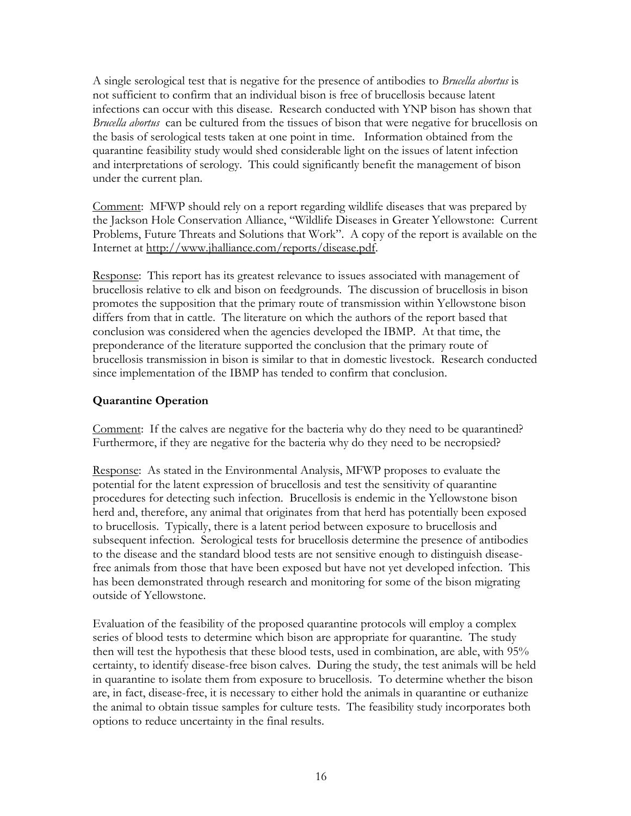A single serological test that is negative for the presence of antibodies to *Brucella abortus* is not sufficient to confirm that an individual bison is free of brucellosis because latent infections can occur with this disease. Research conducted with YNP bison has shown that *Brucella abortus* can be cultured from the tissues of bison that were negative for brucellosis on the basis of serological tests taken at one point in time. Information obtained from the quarantine feasibility study would shed considerable light on the issues of latent infection and interpretations of serology. This could significantly benefit the management of bison under the current plan.

Comment: MFWP should rely on a report regarding wildlife diseases that was prepared by the Jackson Hole Conservation Alliance, "Wildlife Diseases in Greater Yellowstone: Current Problems, Future Threats and Solutions that Work". A copy of the report is available on the Internet at http://www.jhalliance.com/reports/disease.pdf.

Response: This report has its greatest relevance to issues associated with management of brucellosis relative to elk and bison on feedgrounds. The discussion of brucellosis in bison promotes the supposition that the primary route of transmission within Yellowstone bison differs from that in cattle. The literature on which the authors of the report based that conclusion was considered when the agencies developed the IBMP. At that time, the preponderance of the literature supported the conclusion that the primary route of brucellosis transmission in bison is similar to that in domestic livestock. Research conducted since implementation of the IBMP has tended to confirm that conclusion.

# **Quarantine Operation**

Comment: If the calves are negative for the bacteria why do they need to be quarantined? Furthermore, if they are negative for the bacteria why do they need to be necropsied?

Response: As stated in the Environmental Analysis, MFWP proposes to evaluate the potential for the latent expression of brucellosis and test the sensitivity of quarantine procedures for detecting such infection. Brucellosis is endemic in the Yellowstone bison herd and, therefore, any animal that originates from that herd has potentially been exposed to brucellosis. Typically, there is a latent period between exposure to brucellosis and subsequent infection. Serological tests for brucellosis determine the presence of antibodies to the disease and the standard blood tests are not sensitive enough to distinguish diseasefree animals from those that have been exposed but have not yet developed infection. This has been demonstrated through research and monitoring for some of the bison migrating outside of Yellowstone.

Evaluation of the feasibility of the proposed quarantine protocols will employ a complex series of blood tests to determine which bison are appropriate for quarantine. The study then will test the hypothesis that these blood tests, used in combination, are able, with 95% certainty, to identify disease-free bison calves. During the study, the test animals will be held in quarantine to isolate them from exposure to brucellosis. To determine whether the bison are, in fact, disease-free, it is necessary to either hold the animals in quarantine or euthanize the animal to obtain tissue samples for culture tests. The feasibility study incorporates both options to reduce uncertainty in the final results.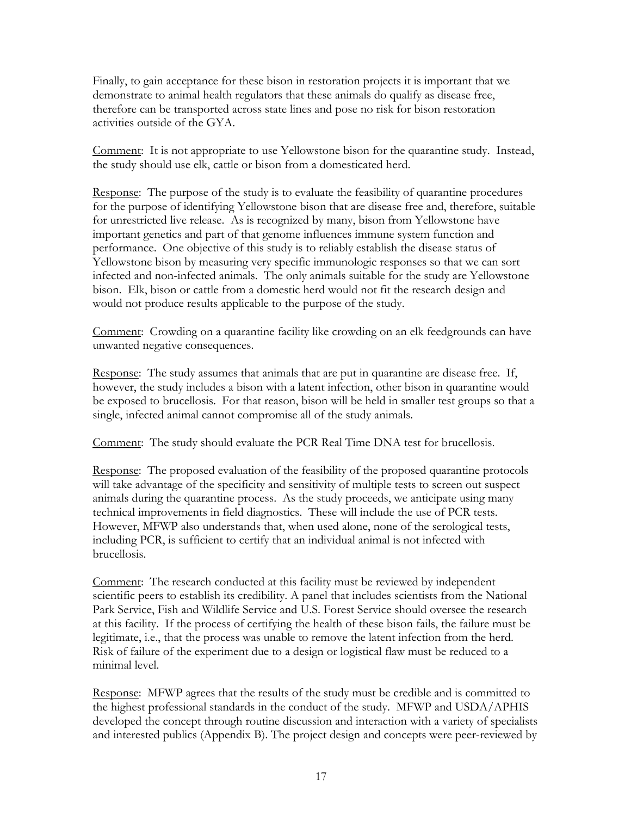Finally, to gain acceptance for these bison in restoration projects it is important that we demonstrate to animal health regulators that these animals do qualify as disease free, therefore can be transported across state lines and pose no risk for bison restoration activities outside of the GYA.

Comment: It is not appropriate to use Yellowstone bison for the quarantine study. Instead, the study should use elk, cattle or bison from a domesticated herd.

Response: The purpose of the study is to evaluate the feasibility of quarantine procedures for the purpose of identifying Yellowstone bison that are disease free and, therefore, suitable for unrestricted live release. As is recognized by many, bison from Yellowstone have important genetics and part of that genome influences immune system function and performance. One objective of this study is to reliably establish the disease status of Yellowstone bison by measuring very specific immunologic responses so that we can sort infected and non-infected animals. The only animals suitable for the study are Yellowstone bison. Elk, bison or cattle from a domestic herd would not fit the research design and would not produce results applicable to the purpose of the study.

Comment: Crowding on a quarantine facility like crowding on an elk feedgrounds can have unwanted negative consequences.

Response: The study assumes that animals that are put in quarantine are disease free. If, however, the study includes a bison with a latent infection, other bison in quarantine would be exposed to brucellosis. For that reason, bison will be held in smaller test groups so that a single, infected animal cannot compromise all of the study animals.

Comment: The study should evaluate the PCR Real Time DNA test for brucellosis.

Response: The proposed evaluation of the feasibility of the proposed quarantine protocols will take advantage of the specificity and sensitivity of multiple tests to screen out suspect animals during the quarantine process. As the study proceeds, we anticipate using many technical improvements in field diagnostics. These will include the use of PCR tests. However, MFWP also understands that, when used alone, none of the serological tests, including PCR, is sufficient to certify that an individual animal is not infected with brucellosis.

Comment: The research conducted at this facility must be reviewed by independent scientific peers to establish its credibility. A panel that includes scientists from the National Park Service, Fish and Wildlife Service and U.S. Forest Service should oversee the research at this facility. If the process of certifying the health of these bison fails, the failure must be legitimate, i.e., that the process was unable to remove the latent infection from the herd. Risk of failure of the experiment due to a design or logistical flaw must be reduced to a minimal level.

Response: MFWP agrees that the results of the study must be credible and is committed to the highest professional standards in the conduct of the study. MFWP and USDA/APHIS developed the concept through routine discussion and interaction with a variety of specialists and interested publics (Appendix B). The project design and concepts were peer-reviewed by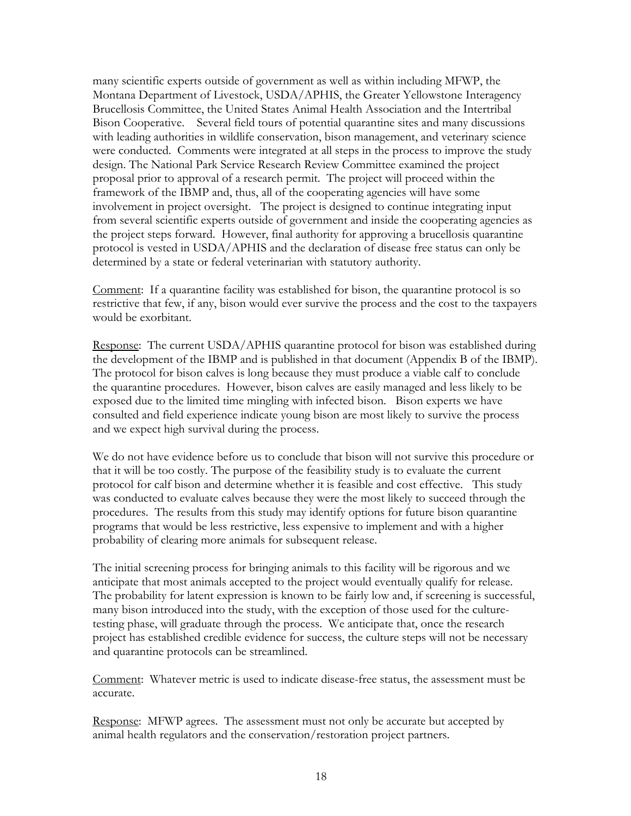many scientific experts outside of government as well as within including MFWP, the Montana Department of Livestock, USDA/APHIS, the Greater Yellowstone Interagency Brucellosis Committee, the United States Animal Health Association and the Intertribal Bison Cooperative. Several field tours of potential quarantine sites and many discussions with leading authorities in wildlife conservation, bison management, and veterinary science were conducted. Comments were integrated at all steps in the process to improve the study design. The National Park Service Research Review Committee examined the project proposal prior to approval of a research permit. The project will proceed within the framework of the IBMP and, thus, all of the cooperating agencies will have some involvement in project oversight. The project is designed to continue integrating input from several scientific experts outside of government and inside the cooperating agencies as the project steps forward. However, final authority for approving a brucellosis quarantine protocol is vested in USDA/APHIS and the declaration of disease free status can only be determined by a state or federal veterinarian with statutory authority.

Comment: If a quarantine facility was established for bison, the quarantine protocol is so restrictive that few, if any, bison would ever survive the process and the cost to the taxpayers would be exorbitant.

Response: The current USDA/APHIS quarantine protocol for bison was established during the development of the IBMP and is published in that document (Appendix B of the IBMP). The protocol for bison calves is long because they must produce a viable calf to conclude the quarantine procedures. However, bison calves are easily managed and less likely to be exposed due to the limited time mingling with infected bison. Bison experts we have consulted and field experience indicate young bison are most likely to survive the process and we expect high survival during the process.

We do not have evidence before us to conclude that bison will not survive this procedure or that it will be too costly. The purpose of the feasibility study is to evaluate the current protocol for calf bison and determine whether it is feasible and cost effective. This study was conducted to evaluate calves because they were the most likely to succeed through the procedures. The results from this study may identify options for future bison quarantine programs that would be less restrictive, less expensive to implement and with a higher probability of clearing more animals for subsequent release.

The initial screening process for bringing animals to this facility will be rigorous and we anticipate that most animals accepted to the project would eventually qualify for release. The probability for latent expression is known to be fairly low and, if screening is successful, many bison introduced into the study, with the exception of those used for the culturetesting phase, will graduate through the process. We anticipate that, once the research project has established credible evidence for success, the culture steps will not be necessary and quarantine protocols can be streamlined.

Comment: Whatever metric is used to indicate disease-free status, the assessment must be accurate.

Response: MFWP agrees. The assessment must not only be accurate but accepted by animal health regulators and the conservation/restoration project partners.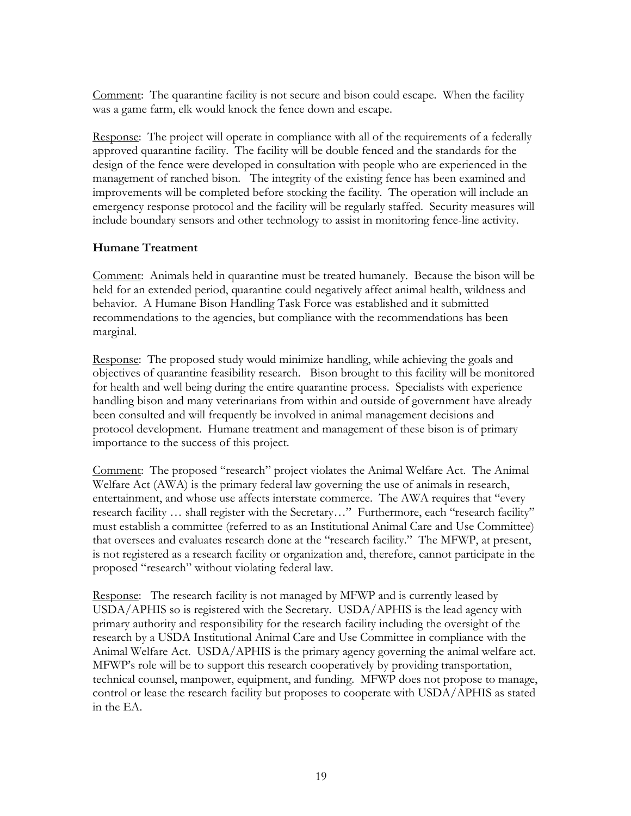Comment: The quarantine facility is not secure and bison could escape. When the facility was a game farm, elk would knock the fence down and escape.

Response: The project will operate in compliance with all of the requirements of a federally approved quarantine facility. The facility will be double fenced and the standards for the design of the fence were developed in consultation with people who are experienced in the management of ranched bison. The integrity of the existing fence has been examined and improvements will be completed before stocking the facility. The operation will include an emergency response protocol and the facility will be regularly staffed. Security measures will include boundary sensors and other technology to assist in monitoring fence-line activity.

### **Humane Treatment**

Comment: Animals held in quarantine must be treated humanely. Because the bison will be held for an extended period, quarantine could negatively affect animal health, wildness and behavior. A Humane Bison Handling Task Force was established and it submitted recommendations to the agencies, but compliance with the recommendations has been marginal.

Response: The proposed study would minimize handling, while achieving the goals and objectives of quarantine feasibility research. Bison brought to this facility will be monitored for health and well being during the entire quarantine process. Specialists with experience handling bison and many veterinarians from within and outside of government have already been consulted and will frequently be involved in animal management decisions and protocol development. Humane treatment and management of these bison is of primary importance to the success of this project.

Comment: The proposed "research" project violates the Animal Welfare Act. The Animal Welfare Act (AWA) is the primary federal law governing the use of animals in research, entertainment, and whose use affects interstate commerce. The AWA requires that "every research facility … shall register with the Secretary…" Furthermore, each "research facility" must establish a committee (referred to as an Institutional Animal Care and Use Committee) that oversees and evaluates research done at the "research facility." The MFWP, at present, is not registered as a research facility or organization and, therefore, cannot participate in the proposed "research" without violating federal law.

Response: The research facility is not managed by MFWP and is currently leased by USDA/APHIS so is registered with the Secretary. USDA/APHIS is the lead agency with primary authority and responsibility for the research facility including the oversight of the research by a USDA Institutional Animal Care and Use Committee in compliance with the Animal Welfare Act. USDA/APHIS is the primary agency governing the animal welfare act. MFWP's role will be to support this research cooperatively by providing transportation, technical counsel, manpower, equipment, and funding. MFWP does not propose to manage, control or lease the research facility but proposes to cooperate with USDA/APHIS as stated in the EA.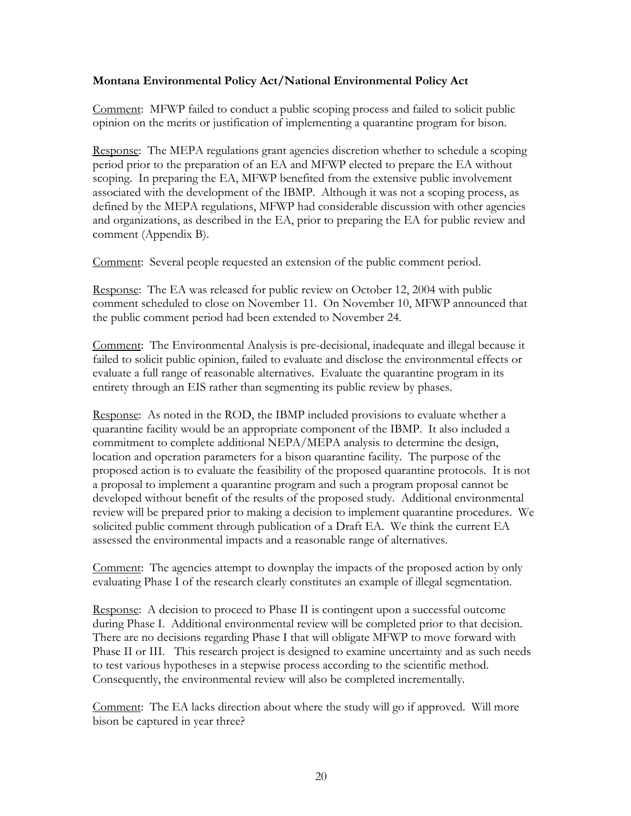### **Montana Environmental Policy Act/National Environmental Policy Act**

Comment: MFWP failed to conduct a public scoping process and failed to solicit public opinion on the merits or justification of implementing a quarantine program for bison.

Response: The MEPA regulations grant agencies discretion whether to schedule a scoping period prior to the preparation of an EA and MFWP elected to prepare the EA without scoping. In preparing the EA, MFWP benefited from the extensive public involvement associated with the development of the IBMP. Although it was not a scoping process, as defined by the MEPA regulations, MFWP had considerable discussion with other agencies and organizations, as described in the EA, prior to preparing the EA for public review and comment (Appendix B).

Comment: Several people requested an extension of the public comment period.

Response: The EA was released for public review on October 12, 2004 with public comment scheduled to close on November 11. On November 10, MFWP announced that the public comment period had been extended to November 24.

Comment: The Environmental Analysis is pre-decisional, inadequate and illegal because it failed to solicit public opinion, failed to evaluate and disclose the environmental effects or evaluate a full range of reasonable alternatives. Evaluate the quarantine program in its entirety through an EIS rather than segmenting its public review by phases.

Response: As noted in the ROD, the IBMP included provisions to evaluate whether a quarantine facility would be an appropriate component of the IBMP. It also included a commitment to complete additional NEPA/MEPA analysis to determine the design, location and operation parameters for a bison quarantine facility. The purpose of the proposed action is to evaluate the feasibility of the proposed quarantine protocols. It is not a proposal to implement a quarantine program and such a program proposal cannot be developed without benefit of the results of the proposed study. Additional environmental review will be prepared prior to making a decision to implement quarantine procedures. We solicited public comment through publication of a Draft EA. We think the current EA assessed the environmental impacts and a reasonable range of alternatives.

Comment: The agencies attempt to downplay the impacts of the proposed action by only evaluating Phase I of the research clearly constitutes an example of illegal segmentation.

Response: A decision to proceed to Phase II is contingent upon a successful outcome during Phase I. Additional environmental review will be completed prior to that decision. There are no decisions regarding Phase I that will obligate MFWP to move forward with Phase II or III. This research project is designed to examine uncertainty and as such needs to test various hypotheses in a stepwise process according to the scientific method. Consequently, the environmental review will also be completed incrementally.

Comment: The EA lacks direction about where the study will go if approved. Will more bison be captured in year three?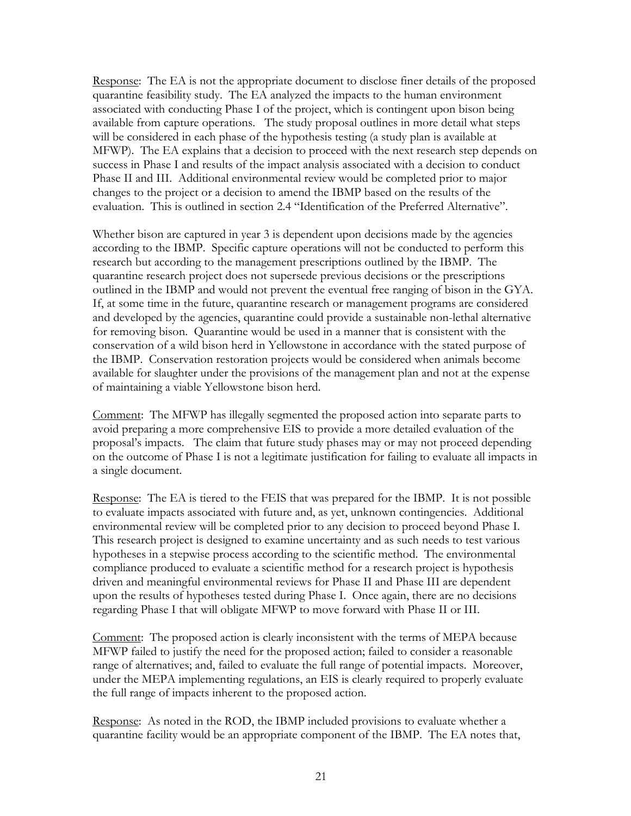Response: The EA is not the appropriate document to disclose finer details of the proposed quarantine feasibility study. The EA analyzed the impacts to the human environment associated with conducting Phase I of the project, which is contingent upon bison being available from capture operations. The study proposal outlines in more detail what steps will be considered in each phase of the hypothesis testing (a study plan is available at MFWP). The EA explains that a decision to proceed with the next research step depends on success in Phase I and results of the impact analysis associated with a decision to conduct Phase II and III. Additional environmental review would be completed prior to major changes to the project or a decision to amend the IBMP based on the results of the evaluation. This is outlined in section 2.4 "Identification of the Preferred Alternative".

Whether bison are captured in year 3 is dependent upon decisions made by the agencies according to the IBMP. Specific capture operations will not be conducted to perform this research but according to the management prescriptions outlined by the IBMP. The quarantine research project does not supersede previous decisions or the prescriptions outlined in the IBMP and would not prevent the eventual free ranging of bison in the GYA. If, at some time in the future, quarantine research or management programs are considered and developed by the agencies, quarantine could provide a sustainable non-lethal alternative for removing bison. Quarantine would be used in a manner that is consistent with the conservation of a wild bison herd in Yellowstone in accordance with the stated purpose of the IBMP. Conservation restoration projects would be considered when animals become available for slaughter under the provisions of the management plan and not at the expense of maintaining a viable Yellowstone bison herd.

Comment: The MFWP has illegally segmented the proposed action into separate parts to avoid preparing a more comprehensive EIS to provide a more detailed evaluation of the proposal's impacts. The claim that future study phases may or may not proceed depending on the outcome of Phase I is not a legitimate justification for failing to evaluate all impacts in a single document.

Response: The EA is tiered to the FEIS that was prepared for the IBMP. It is not possible to evaluate impacts associated with future and, as yet, unknown contingencies. Additional environmental review will be completed prior to any decision to proceed beyond Phase I. This research project is designed to examine uncertainty and as such needs to test various hypotheses in a stepwise process according to the scientific method. The environmental compliance produced to evaluate a scientific method for a research project is hypothesis driven and meaningful environmental reviews for Phase II and Phase III are dependent upon the results of hypotheses tested during Phase I. Once again, there are no decisions regarding Phase I that will obligate MFWP to move forward with Phase II or III.

Comment: The proposed action is clearly inconsistent with the terms of MEPA because MFWP failed to justify the need for the proposed action; failed to consider a reasonable range of alternatives; and, failed to evaluate the full range of potential impacts. Moreover, under the MEPA implementing regulations, an EIS is clearly required to properly evaluate the full range of impacts inherent to the proposed action.

Response: As noted in the ROD, the IBMP included provisions to evaluate whether a quarantine facility would be an appropriate component of the IBMP. The EA notes that,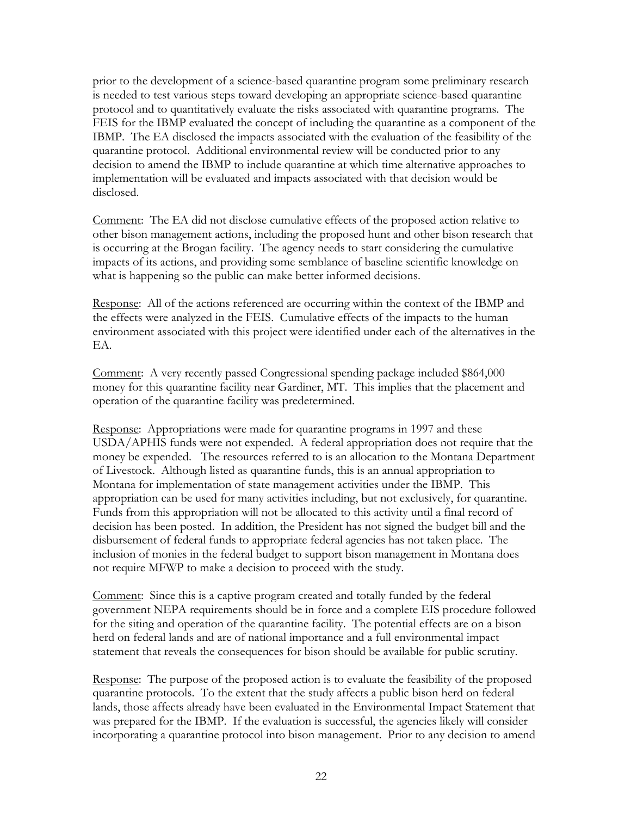prior to the development of a science-based quarantine program some preliminary research is needed to test various steps toward developing an appropriate science-based quarantine protocol and to quantitatively evaluate the risks associated with quarantine programs. The FEIS for the IBMP evaluated the concept of including the quarantine as a component of the IBMP. The EA disclosed the impacts associated with the evaluation of the feasibility of the quarantine protocol. Additional environmental review will be conducted prior to any decision to amend the IBMP to include quarantine at which time alternative approaches to implementation will be evaluated and impacts associated with that decision would be disclosed.

Comment: The EA did not disclose cumulative effects of the proposed action relative to other bison management actions, including the proposed hunt and other bison research that is occurring at the Brogan facility. The agency needs to start considering the cumulative impacts of its actions, and providing some semblance of baseline scientific knowledge on what is happening so the public can make better informed decisions.

Response: All of the actions referenced are occurring within the context of the IBMP and the effects were analyzed in the FEIS. Cumulative effects of the impacts to the human environment associated with this project were identified under each of the alternatives in the EA.

Comment: A very recently passed Congressional spending package included \$864,000 money for this quarantine facility near Gardiner, MT. This implies that the placement and operation of the quarantine facility was predetermined.

Response: Appropriations were made for quarantine programs in 1997 and these USDA/APHIS funds were not expended. A federal appropriation does not require that the money be expended. The resources referred to is an allocation to the Montana Department of Livestock. Although listed as quarantine funds, this is an annual appropriation to Montana for implementation of state management activities under the IBMP. This appropriation can be used for many activities including, but not exclusively, for quarantine. Funds from this appropriation will not be allocated to this activity until a final record of decision has been posted. In addition, the President has not signed the budget bill and the disbursement of federal funds to appropriate federal agencies has not taken place. The inclusion of monies in the federal budget to support bison management in Montana does not require MFWP to make a decision to proceed with the study.

Comment: Since this is a captive program created and totally funded by the federal government NEPA requirements should be in force and a complete EIS procedure followed for the siting and operation of the quarantine facility. The potential effects are on a bison herd on federal lands and are of national importance and a full environmental impact statement that reveals the consequences for bison should be available for public scrutiny.

Response: The purpose of the proposed action is to evaluate the feasibility of the proposed quarantine protocols. To the extent that the study affects a public bison herd on federal lands, those affects already have been evaluated in the Environmental Impact Statement that was prepared for the IBMP. If the evaluation is successful, the agencies likely will consider incorporating a quarantine protocol into bison management. Prior to any decision to amend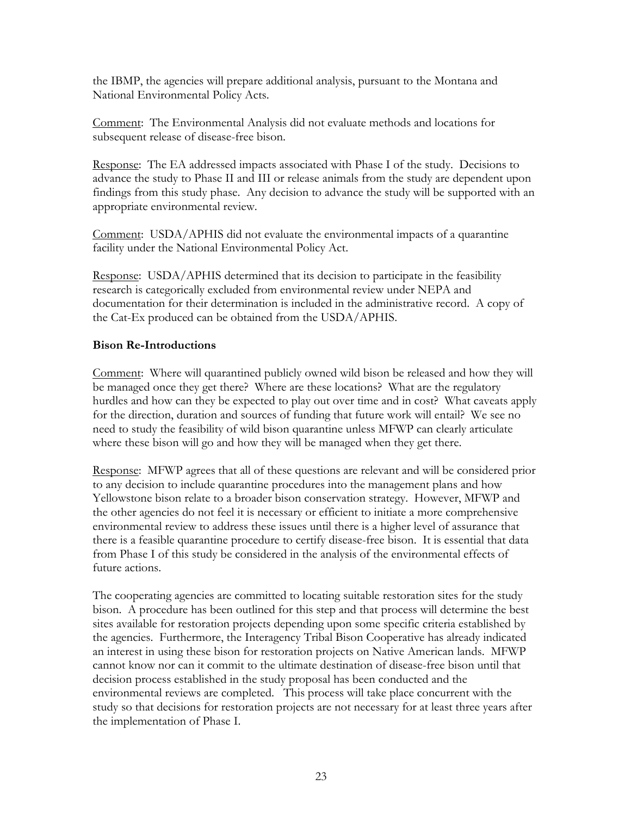the IBMP, the agencies will prepare additional analysis, pursuant to the Montana and National Environmental Policy Acts.

Comment: The Environmental Analysis did not evaluate methods and locations for subsequent release of disease-free bison.

Response: The EA addressed impacts associated with Phase I of the study. Decisions to advance the study to Phase II and III or release animals from the study are dependent upon findings from this study phase. Any decision to advance the study will be supported with an appropriate environmental review.

Comment: USDA/APHIS did not evaluate the environmental impacts of a quarantine facility under the National Environmental Policy Act.

Response: USDA/APHIS determined that its decision to participate in the feasibility research is categorically excluded from environmental review under NEPA and documentation for their determination is included in the administrative record. A copy of the Cat-Ex produced can be obtained from the USDA/APHIS.

### **Bison Re-Introductions**

Comment: Where will quarantined publicly owned wild bison be released and how they will be managed once they get there? Where are these locations? What are the regulatory hurdles and how can they be expected to play out over time and in cost? What caveats apply for the direction, duration and sources of funding that future work will entail? We see no need to study the feasibility of wild bison quarantine unless MFWP can clearly articulate where these bison will go and how they will be managed when they get there.

Response: MFWP agrees that all of these questions are relevant and will be considered prior to any decision to include quarantine procedures into the management plans and how Yellowstone bison relate to a broader bison conservation strategy. However, MFWP and the other agencies do not feel it is necessary or efficient to initiate a more comprehensive environmental review to address these issues until there is a higher level of assurance that there is a feasible quarantine procedure to certify disease-free bison. It is essential that data from Phase I of this study be considered in the analysis of the environmental effects of future actions.

The cooperating agencies are committed to locating suitable restoration sites for the study bison. A procedure has been outlined for this step and that process will determine the best sites available for restoration projects depending upon some specific criteria established by the agencies. Furthermore, the Interagency Tribal Bison Cooperative has already indicated an interest in using these bison for restoration projects on Native American lands. MFWP cannot know nor can it commit to the ultimate destination of disease-free bison until that decision process established in the study proposal has been conducted and the environmental reviews are completed. This process will take place concurrent with the study so that decisions for restoration projects are not necessary for at least three years after the implementation of Phase I.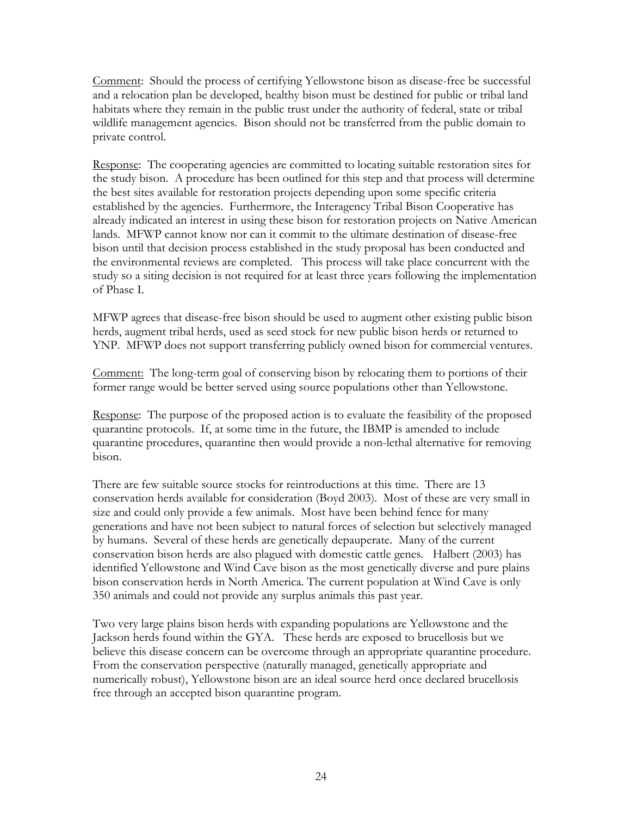Comment: Should the process of certifying Yellowstone bison as disease-free be successful and a relocation plan be developed, healthy bison must be destined for public or tribal land habitats where they remain in the public trust under the authority of federal, state or tribal wildlife management agencies. Bison should not be transferred from the public domain to private control.

Response: The cooperating agencies are committed to locating suitable restoration sites for the study bison. A procedure has been outlined for this step and that process will determine the best sites available for restoration projects depending upon some specific criteria established by the agencies. Furthermore, the Interagency Tribal Bison Cooperative has already indicated an interest in using these bison for restoration projects on Native American lands. MFWP cannot know nor can it commit to the ultimate destination of disease-free bison until that decision process established in the study proposal has been conducted and the environmental reviews are completed. This process will take place concurrent with the study so a siting decision is not required for at least three years following the implementation of Phase I.

MFWP agrees that disease-free bison should be used to augment other existing public bison herds, augment tribal herds, used as seed stock for new public bison herds or returned to YNP. MFWP does not support transferring publicly owned bison for commercial ventures.

Comment: The long-term goal of conserving bison by relocating them to portions of their former range would be better served using source populations other than Yellowstone.

Response: The purpose of the proposed action is to evaluate the feasibility of the proposed quarantine protocols. If, at some time in the future, the IBMP is amended to include quarantine procedures, quarantine then would provide a non-lethal alternative for removing bison.

There are few suitable source stocks for reintroductions at this time. There are 13 conservation herds available for consideration (Boyd 2003). Most of these are very small in size and could only provide a few animals. Most have been behind fence for many generations and have not been subject to natural forces of selection but selectively managed by humans. Several of these herds are genetically depauperate. Many of the current conservation bison herds are also plagued with domestic cattle genes. Halbert (2003) has identified Yellowstone and Wind Cave bison as the most genetically diverse and pure plains bison conservation herds in North America. The current population at Wind Cave is only 350 animals and could not provide any surplus animals this past year.

Two very large plains bison herds with expanding populations are Yellowstone and the Jackson herds found within the GYA. These herds are exposed to brucellosis but we believe this disease concern can be overcome through an appropriate quarantine procedure. From the conservation perspective (naturally managed, genetically appropriate and numerically robust), Yellowstone bison are an ideal source herd once declared brucellosis free through an accepted bison quarantine program.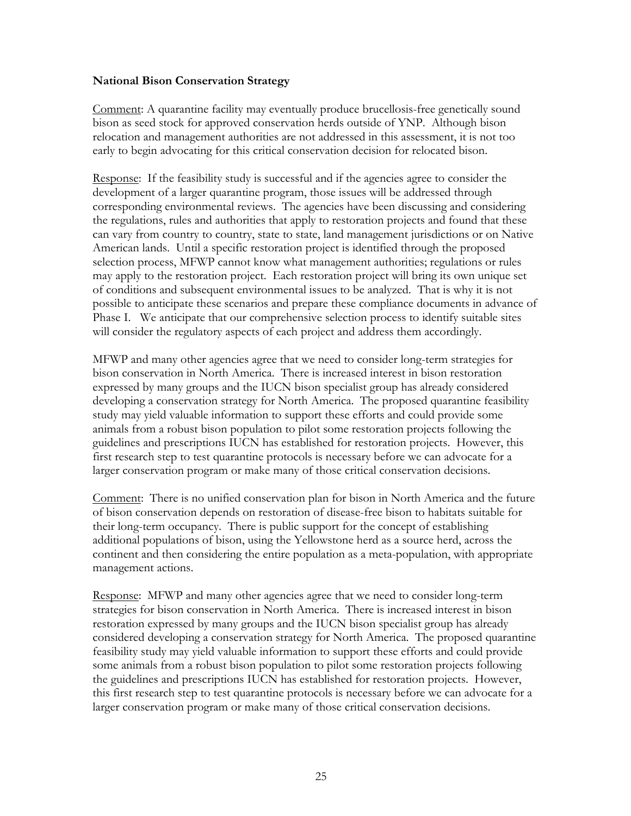#### **National Bison Conservation Strategy**

Comment: A quarantine facility may eventually produce brucellosis-free genetically sound bison as seed stock for approved conservation herds outside of YNP. Although bison relocation and management authorities are not addressed in this assessment, it is not too early to begin advocating for this critical conservation decision for relocated bison.

Response: If the feasibility study is successful and if the agencies agree to consider the development of a larger quarantine program, those issues will be addressed through corresponding environmental reviews. The agencies have been discussing and considering the regulations, rules and authorities that apply to restoration projects and found that these can vary from country to country, state to state, land management jurisdictions or on Native American lands. Until a specific restoration project is identified through the proposed selection process, MFWP cannot know what management authorities; regulations or rules may apply to the restoration project. Each restoration project will bring its own unique set of conditions and subsequent environmental issues to be analyzed. That is why it is not possible to anticipate these scenarios and prepare these compliance documents in advance of Phase I. We anticipate that our comprehensive selection process to identify suitable sites will consider the regulatory aspects of each project and address them accordingly.

MFWP and many other agencies agree that we need to consider long-term strategies for bison conservation in North America. There is increased interest in bison restoration expressed by many groups and the IUCN bison specialist group has already considered developing a conservation strategy for North America. The proposed quarantine feasibility study may yield valuable information to support these efforts and could provide some animals from a robust bison population to pilot some restoration projects following the guidelines and prescriptions IUCN has established for restoration projects. However, this first research step to test quarantine protocols is necessary before we can advocate for a larger conservation program or make many of those critical conservation decisions.

Comment: There is no unified conservation plan for bison in North America and the future of bison conservation depends on restoration of disease-free bison to habitats suitable for their long-term occupancy. There is public support for the concept of establishing additional populations of bison, using the Yellowstone herd as a source herd, across the continent and then considering the entire population as a meta-population, with appropriate management actions.

Response: MFWP and many other agencies agree that we need to consider long-term strategies for bison conservation in North America. There is increased interest in bison restoration expressed by many groups and the IUCN bison specialist group has already considered developing a conservation strategy for North America. The proposed quarantine feasibility study may yield valuable information to support these efforts and could provide some animals from a robust bison population to pilot some restoration projects following the guidelines and prescriptions IUCN has established for restoration projects. However, this first research step to test quarantine protocols is necessary before we can advocate for a larger conservation program or make many of those critical conservation decisions.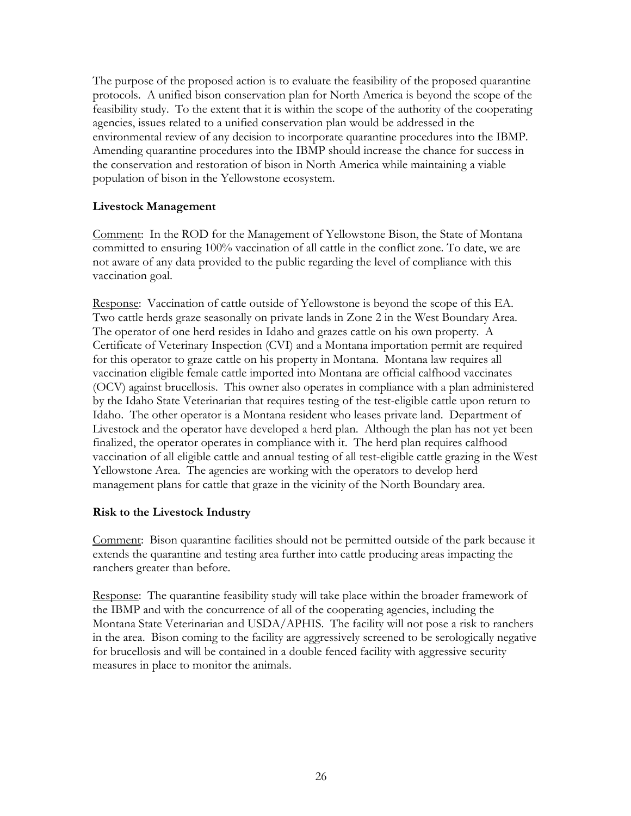The purpose of the proposed action is to evaluate the feasibility of the proposed quarantine protocols. A unified bison conservation plan for North America is beyond the scope of the feasibility study. To the extent that it is within the scope of the authority of the cooperating agencies, issues related to a unified conservation plan would be addressed in the environmental review of any decision to incorporate quarantine procedures into the IBMP. Amending quarantine procedures into the IBMP should increase the chance for success in the conservation and restoration of bison in North America while maintaining a viable population of bison in the Yellowstone ecosystem.

### **Livestock Management**

Comment: In the ROD for the Management of Yellowstone Bison, the State of Montana committed to ensuring 100% vaccination of all cattle in the conflict zone. To date, we are not aware of any data provided to the public regarding the level of compliance with this vaccination goal.

Response: Vaccination of cattle outside of Yellowstone is beyond the scope of this EA. Two cattle herds graze seasonally on private lands in Zone 2 in the West Boundary Area. The operator of one herd resides in Idaho and grazes cattle on his own property. A Certificate of Veterinary Inspection (CVI) and a Montana importation permit are required for this operator to graze cattle on his property in Montana. Montana law requires all vaccination eligible female cattle imported into Montana are official calfhood vaccinates (OCV) against brucellosis. This owner also operates in compliance with a plan administered by the Idaho State Veterinarian that requires testing of the test-eligible cattle upon return to Idaho. The other operator is a Montana resident who leases private land. Department of Livestock and the operator have developed a herd plan. Although the plan has not yet been finalized, the operator operates in compliance with it. The herd plan requires calfhood vaccination of all eligible cattle and annual testing of all test-eligible cattle grazing in the West Yellowstone Area. The agencies are working with the operators to develop herd management plans for cattle that graze in the vicinity of the North Boundary area.

### **Risk to the Livestock Industry**

Comment: Bison quarantine facilities should not be permitted outside of the park because it extends the quarantine and testing area further into cattle producing areas impacting the ranchers greater than before.

Response: The quarantine feasibility study will take place within the broader framework of the IBMP and with the concurrence of all of the cooperating agencies, including the Montana State Veterinarian and USDA/APHIS. The facility will not pose a risk to ranchers in the area. Bison coming to the facility are aggressively screened to be serologically negative for brucellosis and will be contained in a double fenced facility with aggressive security measures in place to monitor the animals.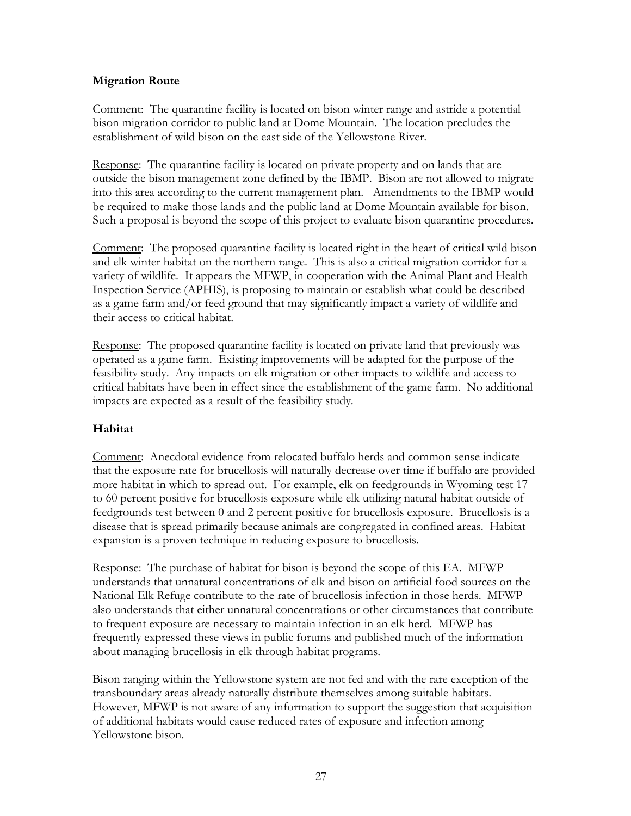# **Migration Route**

Comment: The quarantine facility is located on bison winter range and astride a potential bison migration corridor to public land at Dome Mountain. The location precludes the establishment of wild bison on the east side of the Yellowstone River.

Response: The quarantine facility is located on private property and on lands that are outside the bison management zone defined by the IBMP. Bison are not allowed to migrate into this area according to the current management plan. Amendments to the IBMP would be required to make those lands and the public land at Dome Mountain available for bison. Such a proposal is beyond the scope of this project to evaluate bison quarantine procedures.

Comment: The proposed quarantine facility is located right in the heart of critical wild bison and elk winter habitat on the northern range. This is also a critical migration corridor for a variety of wildlife. It appears the MFWP, in cooperation with the Animal Plant and Health Inspection Service (APHIS), is proposing to maintain or establish what could be described as a game farm and/or feed ground that may significantly impact a variety of wildlife and their access to critical habitat.

Response: The proposed quarantine facility is located on private land that previously was operated as a game farm. Existing improvements will be adapted for the purpose of the feasibility study. Any impacts on elk migration or other impacts to wildlife and access to critical habitats have been in effect since the establishment of the game farm. No additional impacts are expected as a result of the feasibility study.

### **Habitat**

Comment: Anecdotal evidence from relocated buffalo herds and common sense indicate that the exposure rate for brucellosis will naturally decrease over time if buffalo are provided more habitat in which to spread out. For example, elk on feedgrounds in Wyoming test 17 to 60 percent positive for brucellosis exposure while elk utilizing natural habitat outside of feedgrounds test between 0 and 2 percent positive for brucellosis exposure. Brucellosis is a disease that is spread primarily because animals are congregated in confined areas. Habitat expansion is a proven technique in reducing exposure to brucellosis.

Response: The purchase of habitat for bison is beyond the scope of this EA. MFWP understands that unnatural concentrations of elk and bison on artificial food sources on the National Elk Refuge contribute to the rate of brucellosis infection in those herds. MFWP also understands that either unnatural concentrations or other circumstances that contribute to frequent exposure are necessary to maintain infection in an elk herd. MFWP has frequently expressed these views in public forums and published much of the information about managing brucellosis in elk through habitat programs.

Bison ranging within the Yellowstone system are not fed and with the rare exception of the transboundary areas already naturally distribute themselves among suitable habitats. However, MFWP is not aware of any information to support the suggestion that acquisition of additional habitats would cause reduced rates of exposure and infection among Yellowstone bison.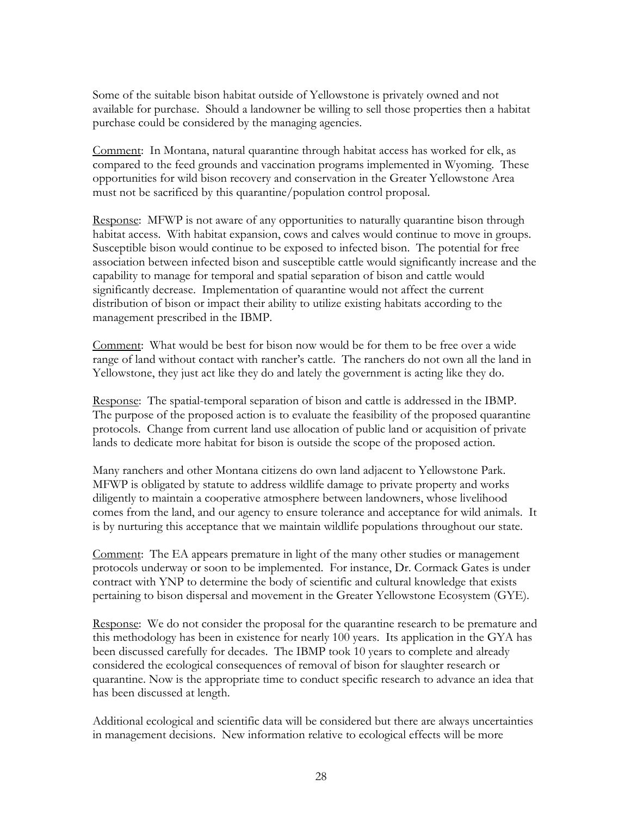Some of the suitable bison habitat outside of Yellowstone is privately owned and not available for purchase. Should a landowner be willing to sell those properties then a habitat purchase could be considered by the managing agencies.

Comment: In Montana, natural quarantine through habitat access has worked for elk, as compared to the feed grounds and vaccination programs implemented in Wyoming. These opportunities for wild bison recovery and conservation in the Greater Yellowstone Area must not be sacrificed by this quarantine/population control proposal.

Response: MFWP is not aware of any opportunities to naturally quarantine bison through habitat access. With habitat expansion, cows and calves would continue to move in groups. Susceptible bison would continue to be exposed to infected bison. The potential for free association between infected bison and susceptible cattle would significantly increase and the capability to manage for temporal and spatial separation of bison and cattle would significantly decrease. Implementation of quarantine would not affect the current distribution of bison or impact their ability to utilize existing habitats according to the management prescribed in the IBMP.

Comment: What would be best for bison now would be for them to be free over a wide range of land without contact with rancher's cattle. The ranchers do not own all the land in Yellowstone, they just act like they do and lately the government is acting like they do.

Response: The spatial-temporal separation of bison and cattle is addressed in the IBMP. The purpose of the proposed action is to evaluate the feasibility of the proposed quarantine protocols. Change from current land use allocation of public land or acquisition of private lands to dedicate more habitat for bison is outside the scope of the proposed action.

Many ranchers and other Montana citizens do own land adjacent to Yellowstone Park. MFWP is obligated by statute to address wildlife damage to private property and works diligently to maintain a cooperative atmosphere between landowners, whose livelihood comes from the land, and our agency to ensure tolerance and acceptance for wild animals. It is by nurturing this acceptance that we maintain wildlife populations throughout our state.

Comment: The EA appears premature in light of the many other studies or management protocols underway or soon to be implemented. For instance, Dr. Cormack Gates is under contract with YNP to determine the body of scientific and cultural knowledge that exists pertaining to bison dispersal and movement in the Greater Yellowstone Ecosystem (GYE).

Response: We do not consider the proposal for the quarantine research to be premature and this methodology has been in existence for nearly 100 years. Its application in the GYA has been discussed carefully for decades. The IBMP took 10 years to complete and already considered the ecological consequences of removal of bison for slaughter research or quarantine. Now is the appropriate time to conduct specific research to advance an idea that has been discussed at length.

Additional ecological and scientific data will be considered but there are always uncertainties in management decisions. New information relative to ecological effects will be more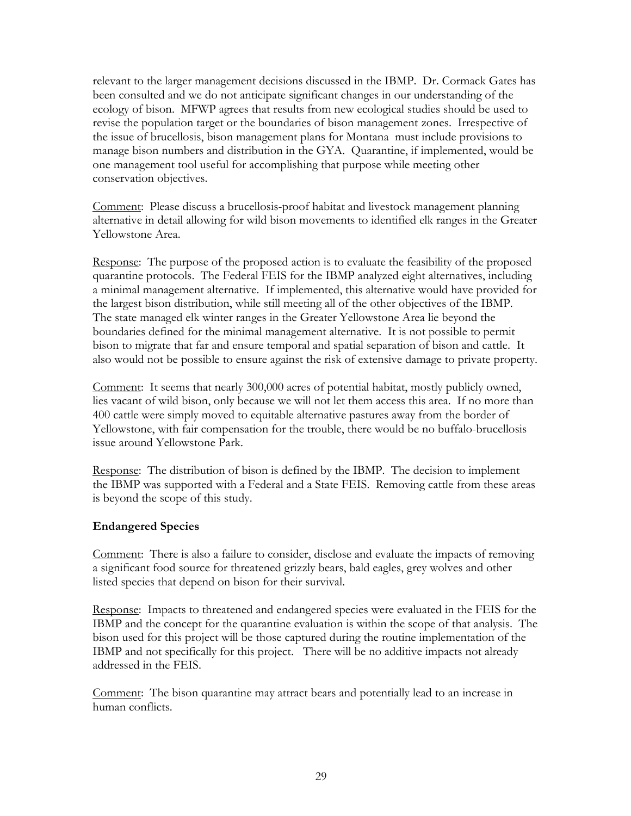relevant to the larger management decisions discussed in the IBMP. Dr. Cormack Gates has been consulted and we do not anticipate significant changes in our understanding of the ecology of bison. MFWP agrees that results from new ecological studies should be used to revise the population target or the boundaries of bison management zones. Irrespective of the issue of brucellosis, bison management plans for Montana must include provisions to manage bison numbers and distribution in the GYA. Quarantine, if implemented, would be one management tool useful for accomplishing that purpose while meeting other conservation objectives.

Comment: Please discuss a brucellosis-proof habitat and livestock management planning alternative in detail allowing for wild bison movements to identified elk ranges in the Greater Yellowstone Area.

Response: The purpose of the proposed action is to evaluate the feasibility of the proposed quarantine protocols. The Federal FEIS for the IBMP analyzed eight alternatives, including a minimal management alternative. If implemented, this alternative would have provided for the largest bison distribution, while still meeting all of the other objectives of the IBMP. The state managed elk winter ranges in the Greater Yellowstone Area lie beyond the boundaries defined for the minimal management alternative. It is not possible to permit bison to migrate that far and ensure temporal and spatial separation of bison and cattle. It also would not be possible to ensure against the risk of extensive damage to private property.

Comment: It seems that nearly 300,000 acres of potential habitat, mostly publicly owned, lies vacant of wild bison, only because we will not let them access this area. If no more than 400 cattle were simply moved to equitable alternative pastures away from the border of Yellowstone, with fair compensation for the trouble, there would be no buffalo-brucellosis issue around Yellowstone Park.

Response: The distribution of bison is defined by the IBMP. The decision to implement the IBMP was supported with a Federal and a State FEIS. Removing cattle from these areas is beyond the scope of this study.

### **Endangered Species**

Comment: There is also a failure to consider, disclose and evaluate the impacts of removing a significant food source for threatened grizzly bears, bald eagles, grey wolves and other listed species that depend on bison for their survival.

Response: Impacts to threatened and endangered species were evaluated in the FEIS for the IBMP and the concept for the quarantine evaluation is within the scope of that analysis. The bison used for this project will be those captured during the routine implementation of the IBMP and not specifically for this project. There will be no additive impacts not already addressed in the FEIS.

Comment: The bison quarantine may attract bears and potentially lead to an increase in human conflicts.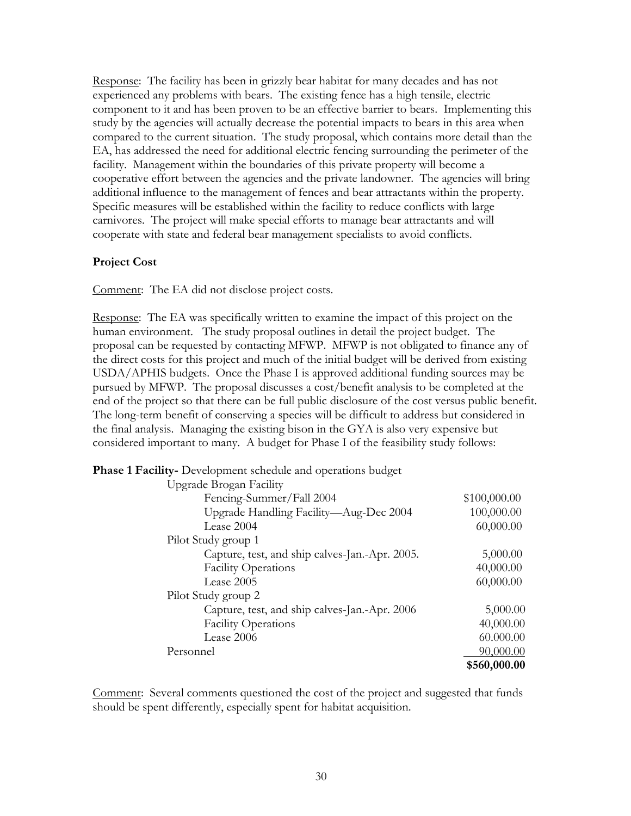Response: The facility has been in grizzly bear habitat for many decades and has not experienced any problems with bears. The existing fence has a high tensile, electric component to it and has been proven to be an effective barrier to bears. Implementing this study by the agencies will actually decrease the potential impacts to bears in this area when compared to the current situation. The study proposal, which contains more detail than the EA, has addressed the need for additional electric fencing surrounding the perimeter of the facility. Management within the boundaries of this private property will become a cooperative effort between the agencies and the private landowner. The agencies will bring additional influence to the management of fences and bear attractants within the property. Specific measures will be established within the facility to reduce conflicts with large carnivores. The project will make special efforts to manage bear attractants and will cooperate with state and federal bear management specialists to avoid conflicts.

#### **Project Cost**

Comment: The EA did not disclose project costs.

Response: The EA was specifically written to examine the impact of this project on the human environment. The study proposal outlines in detail the project budget. The proposal can be requested by contacting MFWP. MFWP is not obligated to finance any of the direct costs for this project and much of the initial budget will be derived from existing USDA/APHIS budgets. Once the Phase I is approved additional funding sources may be pursued by MFWP. The proposal discusses a cost/benefit analysis to be completed at the end of the project so that there can be full public disclosure of the cost versus public benefit. The long-term benefit of conserving a species will be difficult to address but considered in the final analysis. Managing the existing bison in the GYA is also very expensive but considered important to many. A budget for Phase I of the feasibility study follows:

**Phase 1 Facility-** Development schedule and operations budget

| Upgrade Brogan Facility                        |              |
|------------------------------------------------|--------------|
| Fencing-Summer/Fall 2004                       | \$100,000.00 |
| Upgrade Handling Facility-Aug-Dec 2004         | 100,000.00   |
| Lease 2004                                     | 60,000.00    |
| Pilot Study group 1                            |              |
| Capture, test, and ship calves-Jan.-Apr. 2005. | 5,000.00     |
| <b>Facility Operations</b>                     | 40,000.00    |
| Lease 2005                                     | 60,000.00    |
| Pilot Study group 2                            |              |
| Capture, test, and ship calves-Jan.-Apr. 2006  | 5,000.00     |
| <b>Facility Operations</b>                     | 40,000.00    |
| Lease 2006                                     | 60.000.00    |
| Personnel                                      | 90,000.00    |
|                                                | \$560,000.00 |

Comment: Several comments questioned the cost of the project and suggested that funds should be spent differently, especially spent for habitat acquisition.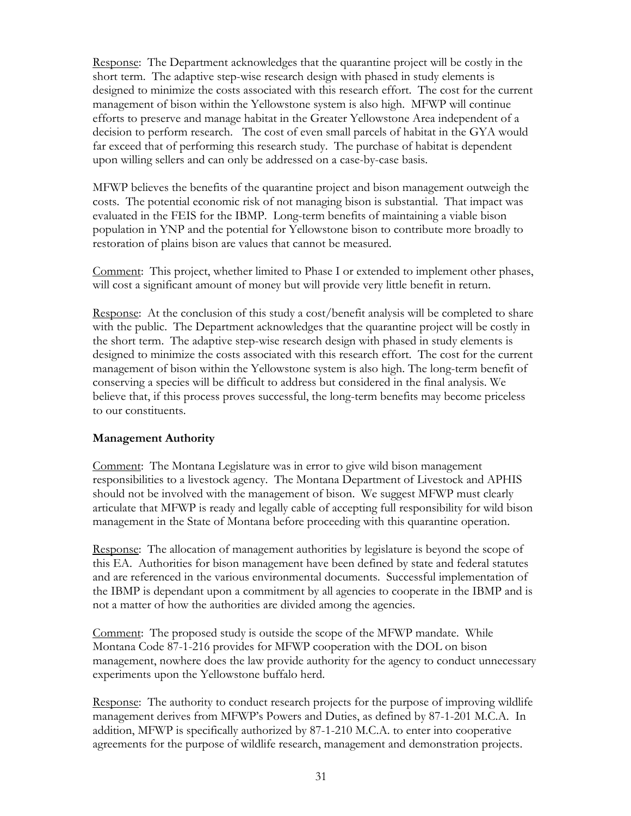Response: The Department acknowledges that the quarantine project will be costly in the short term. The adaptive step-wise research design with phased in study elements is designed to minimize the costs associated with this research effort. The cost for the current management of bison within the Yellowstone system is also high. MFWP will continue efforts to preserve and manage habitat in the Greater Yellowstone Area independent of a decision to perform research. The cost of even small parcels of habitat in the GYA would far exceed that of performing this research study. The purchase of habitat is dependent upon willing sellers and can only be addressed on a case-by-case basis.

MFWP believes the benefits of the quarantine project and bison management outweigh the costs. The potential economic risk of not managing bison is substantial. That impact was evaluated in the FEIS for the IBMP. Long-term benefits of maintaining a viable bison population in YNP and the potential for Yellowstone bison to contribute more broadly to restoration of plains bison are values that cannot be measured.

Comment: This project, whether limited to Phase I or extended to implement other phases, will cost a significant amount of money but will provide very little benefit in return.

Response: At the conclusion of this study a cost/benefit analysis will be completed to share with the public. The Department acknowledges that the quarantine project will be costly in the short term. The adaptive step-wise research design with phased in study elements is designed to minimize the costs associated with this research effort. The cost for the current management of bison within the Yellowstone system is also high. The long-term benefit of conserving a species will be difficult to address but considered in the final analysis. We believe that, if this process proves successful, the long-term benefits may become priceless to our constituents.

### **Management Authority**

Comment: The Montana Legislature was in error to give wild bison management responsibilities to a livestock agency. The Montana Department of Livestock and APHIS should not be involved with the management of bison. We suggest MFWP must clearly articulate that MFWP is ready and legally cable of accepting full responsibility for wild bison management in the State of Montana before proceeding with this quarantine operation.

Response: The allocation of management authorities by legislature is beyond the scope of this EA. Authorities for bison management have been defined by state and federal statutes and are referenced in the various environmental documents. Successful implementation of the IBMP is dependant upon a commitment by all agencies to cooperate in the IBMP and is not a matter of how the authorities are divided among the agencies.

Comment: The proposed study is outside the scope of the MFWP mandate. While Montana Code 87-1-216 provides for MFWP cooperation with the DOL on bison management, nowhere does the law provide authority for the agency to conduct unnecessary experiments upon the Yellowstone buffalo herd.

Response: The authority to conduct research projects for the purpose of improving wildlife management derives from MFWP's Powers and Duties, as defined by 87-1-201 M.C.A. In addition, MFWP is specifically authorized by 87-1-210 M.C.A. to enter into cooperative agreements for the purpose of wildlife research, management and demonstration projects.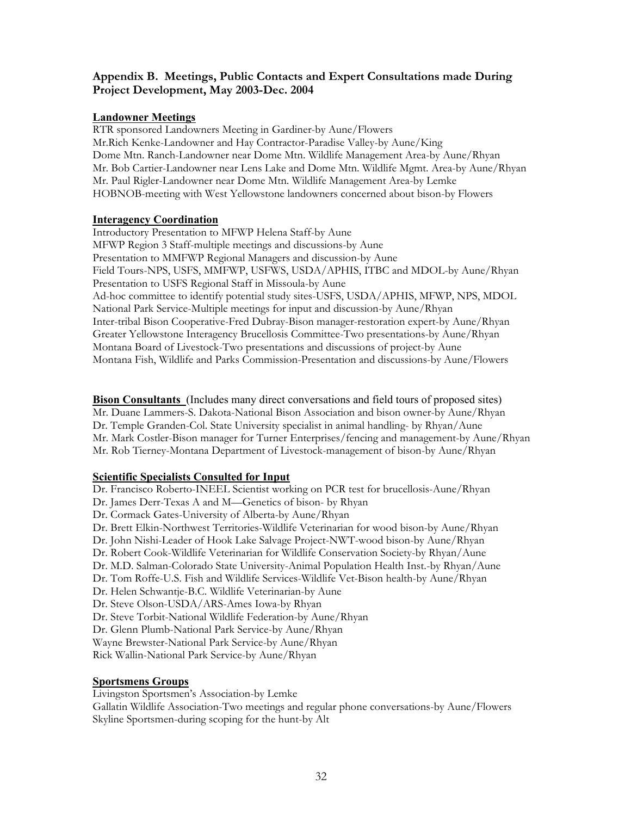# **Appendix B. Meetings, Public Contacts and Expert Consultations made During Project Development, May 2003-Dec. 2004**

#### **Landowner Meetings**

RTR sponsored Landowners Meeting in Gardiner-by Aune/Flowers Mr.Rich Kenke-Landowner and Hay Contractor-Paradise Valley-by Aune/King Dome Mtn. Ranch-Landowner near Dome Mtn. Wildlife Management Area-by Aune/Rhyan Mr. Bob Cartier-Landowner near Lens Lake and Dome Mtn. Wildlife Mgmt. Area-by Aune/Rhyan Mr. Paul Rigler-Landowner near Dome Mtn. Wildlife Management Area-by Lemke HOBNOB-meeting with West Yellowstone landowners concerned about bison-by Flowers

#### **Interagency Coordination**

Introductory Presentation to MFWP Helena Staff-by Aune MFWP Region 3 Staff-multiple meetings and discussions-by Aune Presentation to MMFWP Regional Managers and discussion-by Aune Field Tours-NPS, USFS, MMFWP, USFWS, USDA/APHIS, ITBC and MDOL-by Aune/Rhyan Presentation to USFS Regional Staff in Missoula-by Aune Ad-hoc committee to identify potential study sites-USFS, USDA/APHIS, MFWP, NPS, MDOL National Park Service-Multiple meetings for input and discussion-by Aune/Rhyan Inter-tribal Bison Cooperative-Fred Dubray-Bison manager-restoration expert-by Aune/Rhyan Greater Yellowstone Interagency Brucellosis Committee-Two presentations-by Aune/Rhyan Montana Board of Livestock-Two presentations and discussions of project-by Aune Montana Fish, Wildlife and Parks Commission-Presentation and discussions-by Aune/Flowers

**Bison Consultants** (Includes many direct conversations and field tours of proposed sites) Mr. Duane Lammers-S. Dakota-National Bison Association and bison owner-by Aune/Rhyan Dr. Temple Granden-Col. State University specialist in animal handling- by Rhyan/Aune Mr. Mark Costler-Bison manager for Turner Enterprises/fencing and management-by Aune/Rhyan Mr. Rob Tierney-Montana Department of Livestock-management of bison-by Aune/Rhyan

### **Scientific Specialists Consulted for Input**

Dr. Francisco Roberto-INEEL Scientist working on PCR test for brucellosis-Aune/Rhyan Dr. James Derr-Texas A and M—Genetics of bison- by Rhyan Dr. Cormack Gates-University of Alberta-by Aune/Rhyan Dr. Brett Elkin-Northwest Territories-Wildlife Veterinarian for wood bison-by Aune/Rhyan Dr. John Nishi-Leader of Hook Lake Salvage Project-NWT-wood bison-by Aune/Rhyan Dr. Robert Cook-Wildlife Veterinarian for Wildlife Conservation Society-by Rhyan/Aune Dr. M.D. Salman-Colorado State University-Animal Population Health Inst.-by Rhyan/Aune Dr. Tom Roffe-U.S. Fish and Wildlife Services-Wildlife Vet-Bison health-by Aune/Rhyan Dr. Helen Schwantje-B.C. Wildlife Veterinarian-by Aune Dr. Steve Olson-USDA/ARS-Ames Iowa-by Rhyan Dr. Steve Torbit-National Wildlife Federation-by Aune/Rhyan Dr. Glenn Plumb-National Park Service-by Aune/Rhyan Wayne Brewster-National Park Service-by Aune/Rhyan Rick Wallin-National Park Service-by Aune/Rhyan

### **Sportsmens Groups**

Livingston Sportsmen's Association-by Lemke

Gallatin Wildlife Association-Two meetings and regular phone conversations-by Aune/Flowers Skyline Sportsmen-during scoping for the hunt-by Alt